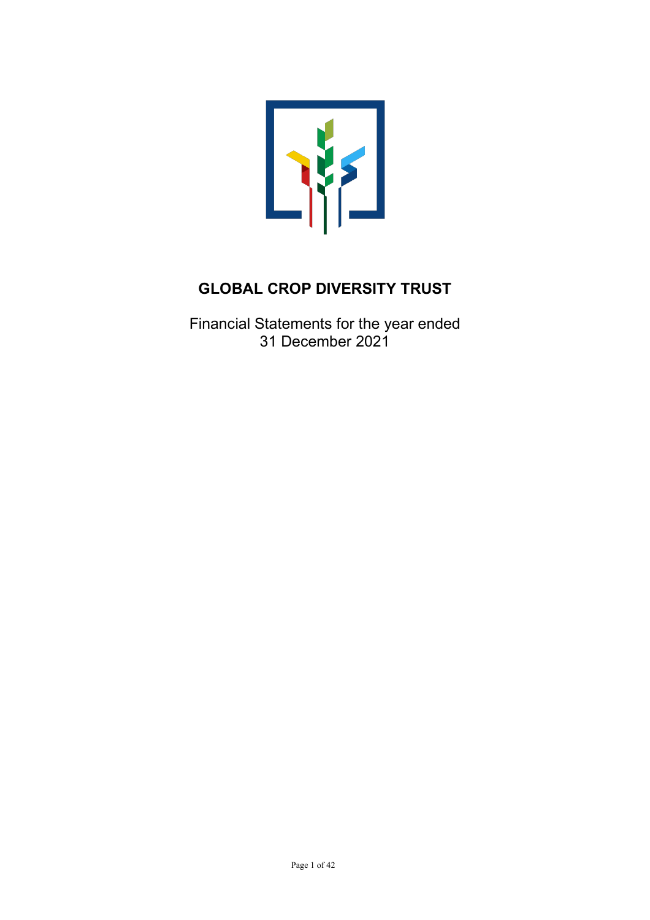

Financial Statements for the year ended 31 December 2021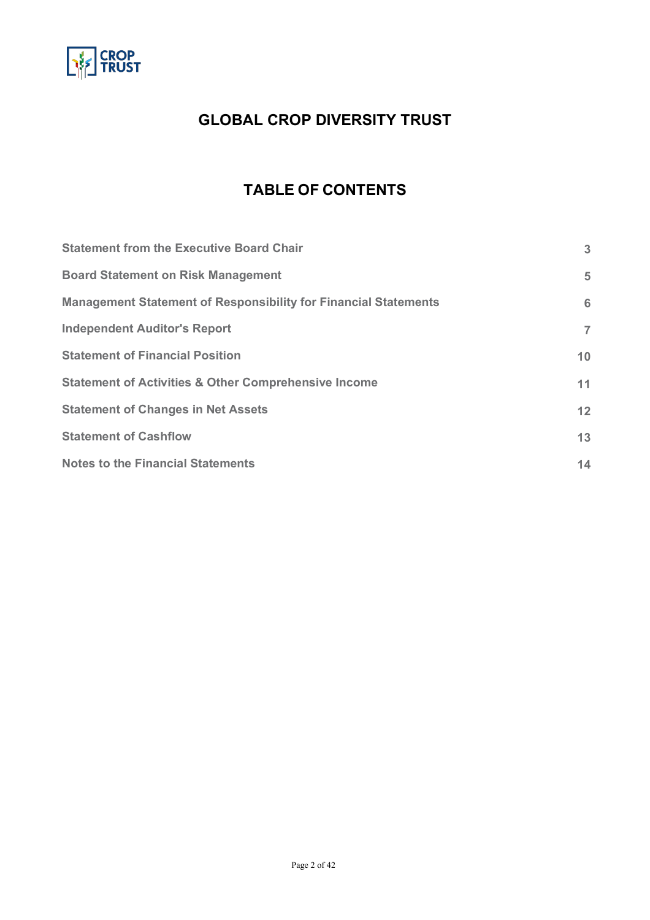

# **TABLE OF CONTENTS**

| <b>Statement from the Executive Board Chair</b>                        | 3              |
|------------------------------------------------------------------------|----------------|
| <b>Board Statement on Risk Management</b>                              | 5              |
| <b>Management Statement of Responsibility for Financial Statements</b> | 6              |
| <b>Independent Auditor's Report</b>                                    | $\overline{7}$ |
| <b>Statement of Financial Position</b>                                 | 10             |
| <b>Statement of Activities &amp; Other Comprehensive Income</b>        | 11             |
| <b>Statement of Changes in Net Assets</b>                              | 12             |
| <b>Statement of Cashflow</b>                                           | 13             |
| <b>Notes to the Financial Statements</b>                               | 14             |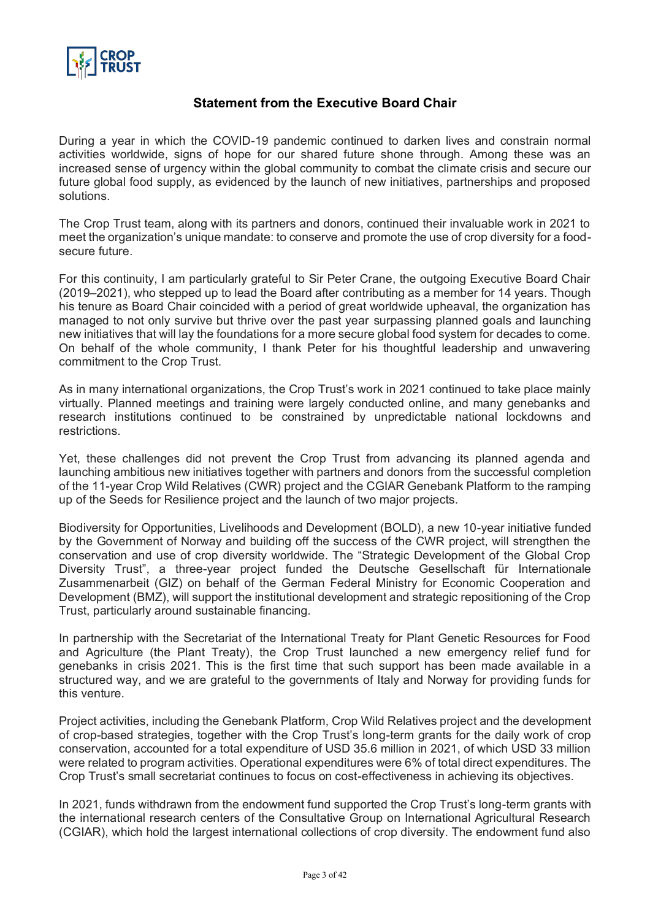

### **Statement from the Executive Board Chair**

<span id="page-2-0"></span>During a year in which the COVID-19 pandemic continued to darken lives and constrain normal activities worldwide, signs of hope for our shared future shone through. Among these was an increased sense of urgency within the global community to combat the climate crisis and secure our future global food supply, as evidenced by the launch of new initiatives, partnerships and proposed solutions.

The Crop Trust team, along with its partners and donors, continued their invaluable work in 2021 to meet the organization's unique mandate: to conserve and promote the use of crop diversity for a foodsecure future.

For this continuity, I am particularly grateful to Sir Peter Crane, the outgoing Executive Board Chair (2019–2021), who stepped up to lead the Board after contributing as a member for 14 years. Though his tenure as Board Chair coincided with a period of great worldwide upheaval, the organization has managed to not only survive but thrive over the past year surpassing planned goals and launching new initiatives that will lay the foundations for a more secure global food system for decades to come. On behalf of the whole community, I thank Peter for his thoughtful leadership and unwavering commitment to the Crop Trust.

As in many international organizations, the Crop Trust's work in 2021 continued to take place mainly virtually. Planned meetings and training were largely conducted online, and many genebanks and research institutions continued to be constrained by unpredictable national lockdowns and restrictions.

Yet, these challenges did not prevent the Crop Trust from advancing its planned agenda and launching ambitious new initiatives together with partners and donors from the successful completion of the 11-year Crop Wild Relatives (CWR) project and the CGIAR Genebank Platform to the ramping up of the Seeds for Resilience project and the launch of two major projects.

Biodiversity for Opportunities, Livelihoods and Development (BOLD), a new 10-year initiative funded by the Government of Norway and building off the success of the CWR project, will strengthen the conservation and use of crop diversity worldwide. The "Strategic Development of the Global Crop Diversity Trust", a three-year project funded the Deutsche Gesellschaft für Internationale Zusammenarbeit (GIZ) on behalf of the German Federal Ministry for Economic Cooperation and Development (BMZ), will support the institutional development and strategic repositioning of the Crop Trust, particularly around sustainable financing.

In partnership with the Secretariat of the International Treaty for Plant Genetic Resources for Food and Agriculture (the Plant Treaty), the Crop Trust launched a new emergency relief fund for genebanks in crisis 2021. This is the first time that such support has been made available in a structured way, and we are grateful to the governments of Italy and Norway for providing funds for this venture.

Project activities, including the Genebank Platform, Crop Wild Relatives project and the development of crop-based strategies, together with the Crop Trust's long-term grants for the daily work of crop conservation, accounted for a total expenditure of USD 35.6 million in 2021, of which USD 33 million were related to program activities. Operational expenditures were 6% of total direct expenditures. The Crop Trust's small secretariat continues to focus on cost-effectiveness in achieving its objectives.

In 2021, funds withdrawn from the endowment fund supported the Crop Trust's long-term grants with the international research centers of the Consultative Group on International Agricultural Research (CGIAR), which hold the largest international collections of crop diversity. The endowment fund also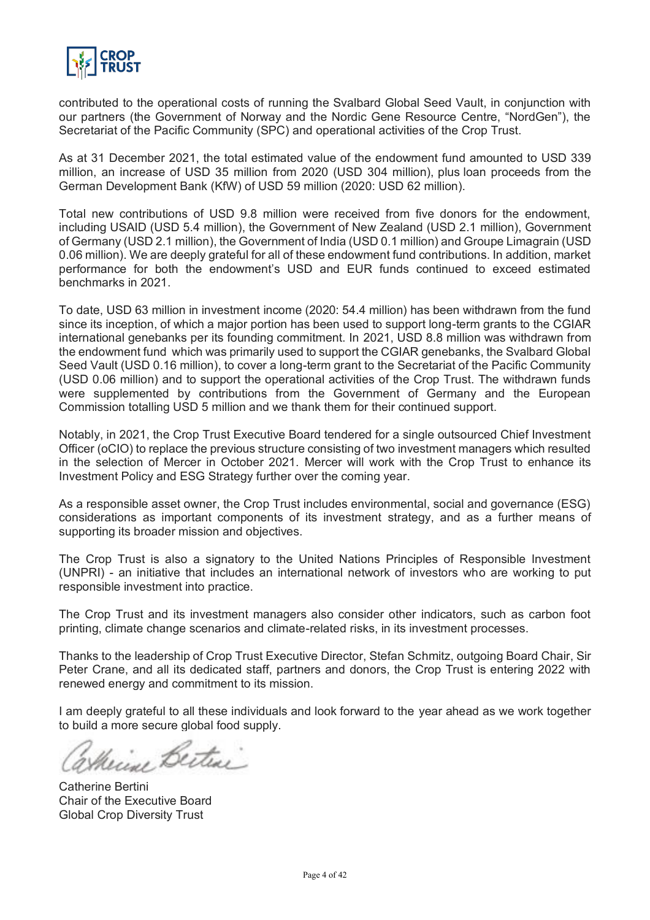

contributed to the operational costs of running the Svalbard Global Seed Vault, in conjunction with our partners (the Government of Norway and the Nordic Gene Resource Centre, "NordGen"), the Secretariat of the Pacific Community (SPC) and operational activities of the Crop Trust.

As at 31 December 2021, the total estimated value of the endowment fund amounted to USD 339 million, an increase of USD 35 million from 2020 (USD 304 million), plus loan proceeds from the German Development Bank (KfW) of USD 59 million (2020: USD 62 million).

Total new contributions of USD 9.8 million were received from five donors for the endowment, including USAID (USD 5.4 million), the Government of New Zealand (USD 2.1 million), Government of Germany (USD 2.1 million), the Government of India (USD 0.1 million) and Groupe Limagrain (USD 0.06 million). We are deeply grateful for all of these endowment fund contributions. In addition, market performance for both the endowment's USD and EUR funds continued to exceed estimated benchmarks in 2021.

To date, USD 63 million in investment income (2020: 54.4 million) has been withdrawn from the fund since its inception, of which a major portion has been used to support long-term grants to the CGIAR international genebanks per its founding commitment. In 2021, USD 8.8 million was withdrawn from the endowment fund which was primarily used to support the CGIAR genebanks, the Svalbard Global Seed Vault (USD 0.16 million), to cover a long-term grant to the Secretariat of the Pacific Community (USD 0.06 million) and to support the operational activities of the Crop Trust. The withdrawn funds were supplemented by contributions from the Government of Germany and the European Commission totalling USD 5 million and we thank them for their continued support.

Notably, in 2021, the Crop Trust Executive Board tendered for a single outsourced Chief Investment Officer (oCIO) to replace the previous structure consisting of two investment managers which resulted in the selection of Mercer in October 2021. Mercer will work with the Crop Trust to enhance its Investment Policy and ESG Strategy further over the coming year.

As a responsible asset owner, the Crop Trust includes environmental, social and governance (ESG) considerations as important components of its investment strategy, and as a further means of supporting its broader mission and objectives.

The Crop Trust is also a signatory to the United Nations Principles of Responsible Investment (UNPRI) - an initiative that includes an international network of investors who are working to put responsible investment into practice.

The Crop Trust and its investment managers also consider other indicators, such as carbon foot printing, climate change scenarios and climate-related risks, in its investment processes.

Thanks to the leadership of Crop Trust Executive Director, Stefan Schmitz, outgoing Board Chair, Sir Peter Crane, and all its dedicated staff, partners and donors, the Crop Trust is entering 2022 with renewed energy and commitment to its mission.

I am deeply grateful to all these individuals and look forward to the year ahead as we work together to build a more secure global food supply.

in Bertrai

Catherine Bertini Chair of the Executive Board Global Crop Diversity Trust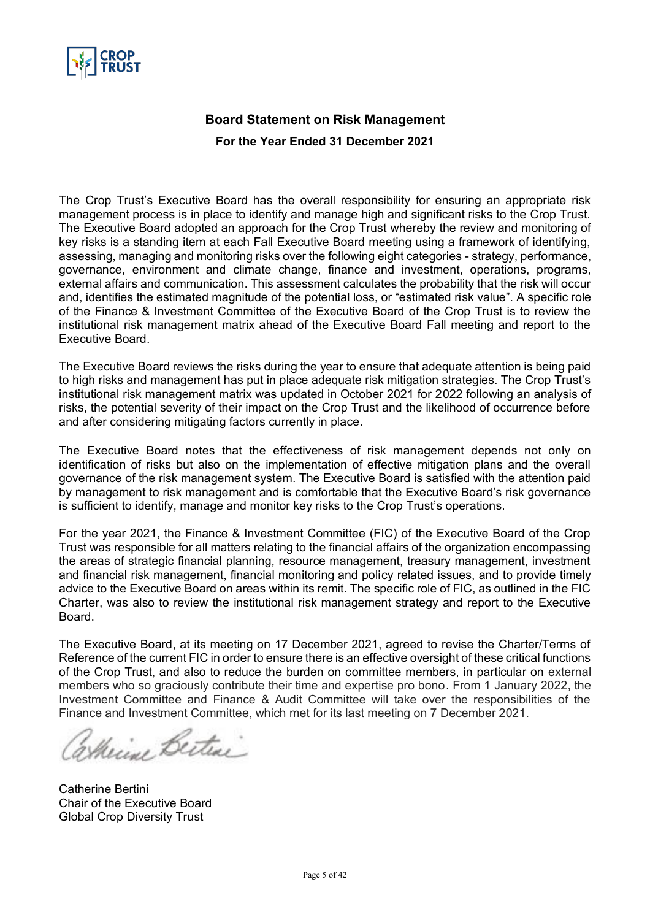<span id="page-4-0"></span>

### **Board Statement on Risk Management**

**For the Year Ended 31 December 2021**

The Crop Trust's Executive Board has the overall responsibility for ensuring an appropriate risk management process is in place to identify and manage high and significant risks to the Crop Trust. The Executive Board adopted an approach for the Crop Trust whereby the review and monitoring of key risks is a standing item at each Fall Executive Board meeting using a framework of identifying, assessing, managing and monitoring risks over the following eight categories - strategy, performance, governance, environment and climate change, finance and investment, operations, programs, external affairs and communication. This assessment calculates the probability that the risk will occur and, identifies the estimated magnitude of the potential loss, or "estimated risk value". A specific role of the Finance & Investment Committee of the Executive Board of the Crop Trust is to review the institutional risk management matrix ahead of the Executive Board Fall meeting and report to the Executive Board.

The Executive Board reviews the risks during the year to ensure that adequate attention is being paid to high risks and management has put in place adequate risk mitigation strategies. The Crop Trust's institutional risk management matrix was updated in October 2021 for 2022 following an analysis of risks, the potential severity of their impact on the Crop Trust and the likelihood of occurrence before and after considering mitigating factors currently in place.

The Executive Board notes that the effectiveness of risk management depends not only on identification of risks but also on the implementation of effective mitigation plans and the overall governance of the risk management system. The Executive Board is satisfied with the attention paid by management to risk management and is comfortable that the Executive Board's risk governance is sufficient to identify, manage and monitor key risks to the Crop Trust's operations.

For the year 2021, the Finance & Investment Committee (FIC) of the Executive Board of the Crop Trust was responsible for all matters relating to the financial affairs of the organization encompassing the areas of strategic financial planning, resource management, treasury management, investment and financial risk management, financial monitoring and policy related issues, and to provide timely advice to the Executive Board on areas within its remit. The specific role of FIC, as outlined in the FIC Charter, was also to review the institutional risk management strategy and report to the Executive Board.

The Executive Board, at its meeting on 17 December 2021, agreed to revise the Charter/Terms of Reference of the current FIC in order to ensure there is an effective oversight of these critical functions of the Crop Trust, and also to reduce the burden on committee members, in particular on external members who so graciously contribute their time and expertise pro bono. From 1 January 2022, the Investment Committee and Finance & Audit Committee will take over the responsibilities of the Finance and Investment Committee, which met for its last meeting on 7 December 2021.

Keine Bertrai

Catherine Bertini Chair of the Executive Board Global Crop Diversity Trust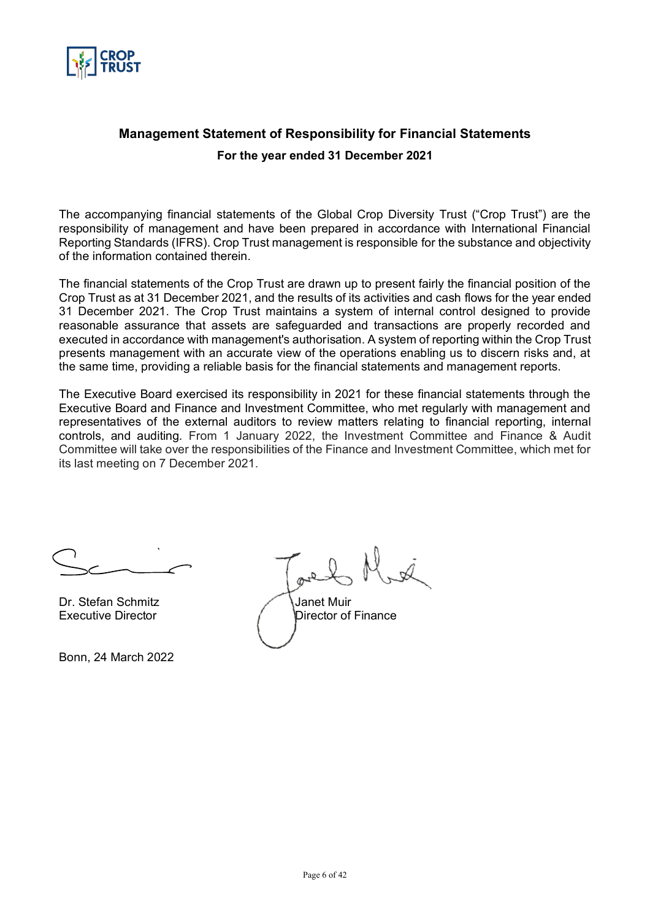

## <span id="page-5-0"></span>**Management Statement of Responsibility for Financial Statements For the year ended 31 December 2021**

The accompanying financial statements of the Global Crop Diversity Trust ("Crop Trust") are the responsibility of management and have been prepared in accordance with International Financial Reporting Standards (IFRS). Crop Trust management is responsible for the substance and objectivity of the information contained therein.

The financial statements of the Crop Trust are drawn up to present fairly the financial position of the Crop Trust as at 31 December 2021, and the results of its activities and cash flows for the year ended 31 December 2021. The Crop Trust maintains a system of internal control designed to provide reasonable assurance that assets are safeguarded and transactions are properly recorded and executed in accordance with management's authorisation. A system of reporting within the Crop Trust presents management with an accurate view of the operations enabling us to discern risks and, at the same time, providing a reliable basis for the financial statements and management reports.

The Executive Board exercised its responsibility in 2021 for these financial statements through the Executive Board and Finance and Investment Committee, who met regularly with management and representatives of the external auditors to review matters relating to financial reporting, internal controls, and auditing. From 1 January 2022, the Investment Committee and Finance & Audit Committee will take over the responsibilities of the Finance and Investment Committee, which met for its last meeting on 7 December 2021.

Dr. Stefan Schmitz **Janet Muir** 

Bonn, 24 March 2022

Executive Director **Director Director of Finance**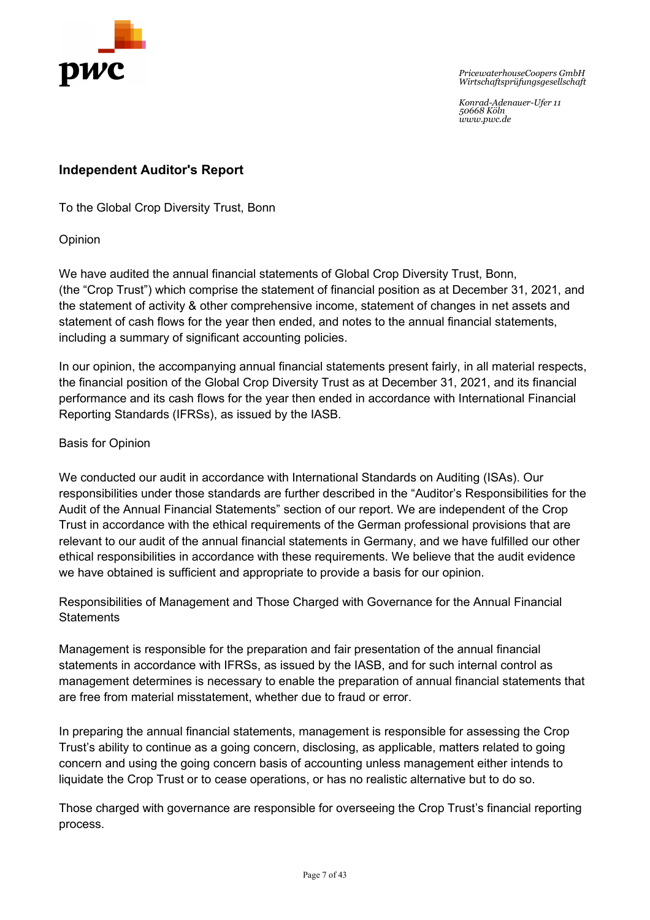

*PricewaterhouseCoopers GmbH Wirtschaftsprüfungsgesellschaft*

*Konrad-Adenauer-Ufer 11 50668 Köln www.pwc.de*

## **Independent Auditor's Report**

<span id="page-6-0"></span>To the Global Crop Diversity Trust, Bonn

**Opinion** 

We have audited the annual financial statements of Global Crop Diversity Trust, Bonn, (the "Crop Trust") which comprise the statement of financial position as at December 31, 2021, and the statement of activity & other comprehensive income, statement of changes in net assets and statement of cash flows for the year then ended, and notes to the annual financial statements, including a summary of significant accounting policies.

In our opinion, the accompanying annual financial statements present fairly, in all material respects, the financial position of the Global Crop Diversity Trust as at December 31, 2021, and its financial performance and its cash flows for the year then ended in accordance with International Financial Reporting Standards (IFRSs), as issued by the IASB.

### Basis for Opinion

We conducted our audit in accordance with International Standards on Auditing (ISAs). Our responsibilities under those standards are further described in the "Auditor's Responsibilities for the Audit of the Annual Financial Statements" section of our report. We are independent of the Crop Trust in accordance with the ethical requirements of the German professional provisions that are relevant to our audit of the annual financial statements in Germany, and we have fulfilled our other ethical responsibilities in accordance with these requirements. We believe that the audit evidence we have obtained is sufficient and appropriate to provide a basis for our opinion.

Responsibilities of Management and Those Charged with Governance for the Annual Financial **Statements** 

Management is responsible for the preparation and fair presentation of the annual financial statements in accordance with IFRSs, as issued by the IASB, and for such internal control as management determines is necessary to enable the preparation of annual financial statements that are free from material misstatement, whether due to fraud or error.

In preparing the annual financial statements, management is responsible for assessing the Crop Trust's ability to continue as a going concern, disclosing, as applicable, matters related to going concern and using the going concern basis of accounting unless management either intends to liquidate the Crop Trust or to cease operations, or has no realistic alternative but to do so.

Those charged with governance are responsible for overseeing the Crop Trust's financial reporting process.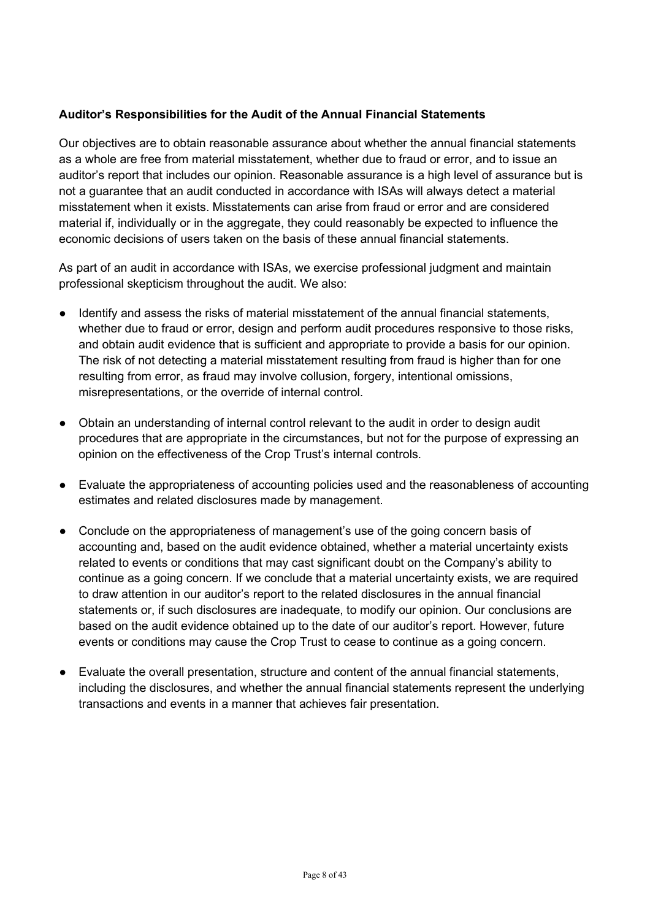#### **Auditor's Responsibilities for the Audit of the Annual Financial Statements**

Our objectives are to obtain reasonable assurance about whether the annual financial statements as a whole are free from material misstatement, whether due to fraud or error, and to issue an auditor's report that includes our opinion. Reasonable assurance is a high level of assurance but is not a guarantee that an audit conducted in accordance with ISAs will always detect a material misstatement when it exists. Misstatements can arise from fraud or error and are considered material if, individually or in the aggregate, they could reasonably be expected to influence the economic decisions of users taken on the basis of these annual financial statements.

As part of an audit in accordance with ISAs, we exercise professional judgment and maintain professional skepticism throughout the audit. We also:

- Identify and assess the risks of material misstatement of the annual financial statements, whether due to fraud or error, design and perform audit procedures responsive to those risks, and obtain audit evidence that is sufficient and appropriate to provide a basis for our opinion. The risk of not detecting a material misstatement resulting from fraud is higher than for one resulting from error, as fraud may involve collusion, forgery, intentional omissions, misrepresentations, or the override of internal control.
- Obtain an understanding of internal control relevant to the audit in order to design audit procedures that are appropriate in the circumstances, but not for the purpose of expressing an opinion on the effectiveness of the Crop Trust's internal controls.
- Evaluate the appropriateness of accounting policies used and the reasonableness of accounting estimates and related disclosures made by management.
- Conclude on the appropriateness of management's use of the going concern basis of accounting and, based on the audit evidence obtained, whether a material uncertainty exists related to events or conditions that may cast significant doubt on the Company's ability to continue as a going concern. If we conclude that a material uncertainty exists, we are required to draw attention in our auditor's report to the related disclosures in the annual financial statements or, if such disclosures are inadequate, to modify our opinion. Our conclusions are based on the audit evidence obtained up to the date of our auditor's report. However, future events or conditions may cause the Crop Trust to cease to continue as a going concern.
- Evaluate the overall presentation, structure and content of the annual financial statements, including the disclosures, and whether the annual financial statements represent the underlying transactions and events in a manner that achieves fair presentation.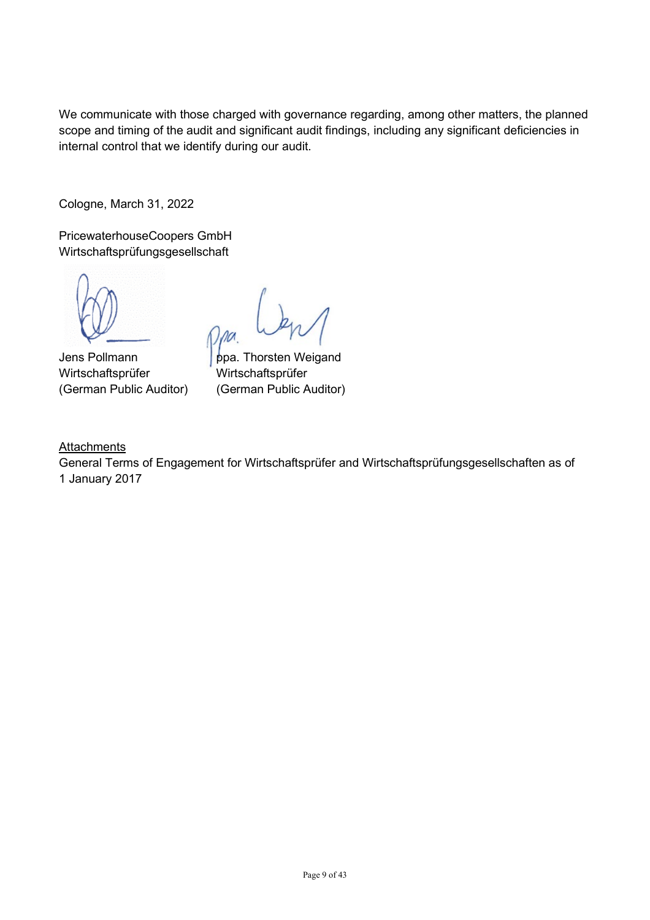We communicate with those charged with governance regarding, among other matters, the planned scope and timing of the audit and significant audit findings, including any significant deficiencies in internal control that we identify during our audit.

Cologne, March 31, 2022

PricewaterhouseCoopers GmbH Wirtschaftsprüfungsgesellschaft

Jens Pollmann **pack** ppa. Thorsten Weigand Wirtschaftsprüfer Wirtschaftsprüfer (German Public Auditor) (German Public Auditor)

ΩОΛ

**Attachments** 

General Terms of Engagement for Wirtschaftsprüfer and Wirtschaftsprüfungsgesellschaften as of 1 January 2017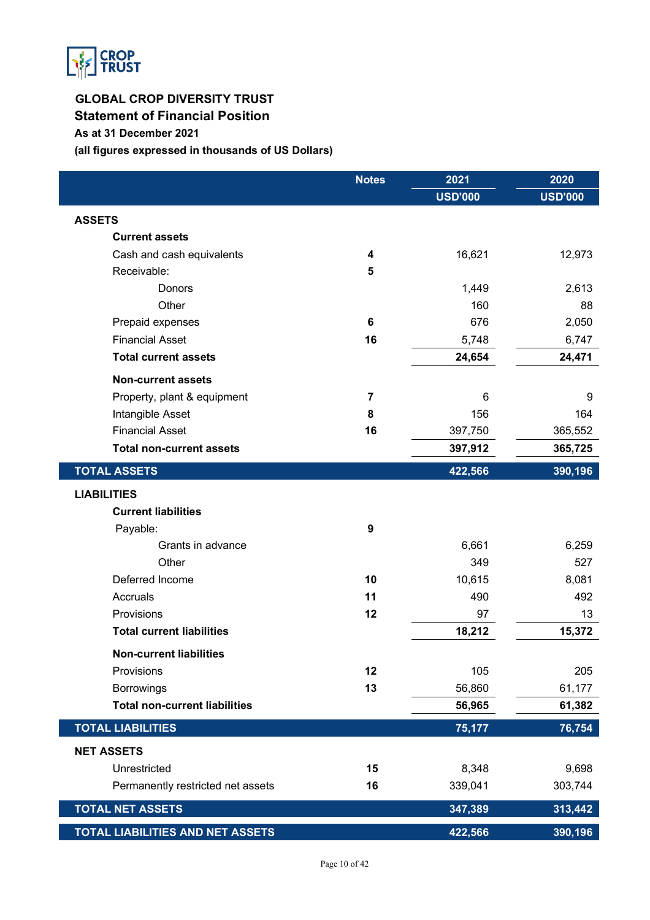

<span id="page-9-0"></span>**Statement of Financial Position** 

### **As at 31 December 2021**

|                                         | <b>Notes</b>   | 2021           | 2020           |
|-----------------------------------------|----------------|----------------|----------------|
|                                         |                | <b>USD'000</b> | <b>USD'000</b> |
| <b>ASSETS</b>                           |                |                |                |
| <b>Current assets</b>                   |                |                |                |
| Cash and cash equivalents               | 4              | 16,621         | 12,973         |
| Receivable:                             | 5              |                |                |
| Donors                                  |                | 1,449          | 2,613          |
| Other                                   |                | 160            | 88             |
| Prepaid expenses                        | 6              | 676            | 2,050          |
| <b>Financial Asset</b>                  | 16             | 5,748          | 6,747          |
| <b>Total current assets</b>             |                | 24,654         | 24,471         |
| <b>Non-current assets</b>               |                |                |                |
| Property, plant & equipment             | $\overline{7}$ | 6              | 9              |
| Intangible Asset                        | 8              | 156            | 164            |
| <b>Financial Asset</b>                  | 16             | 397,750        | 365,552        |
| <b>Total non-current assets</b>         |                | 397,912        | 365,725        |
| <b>TOTAL ASSETS</b>                     |                | 422,566        | 390,196        |
| <b>LIABILITIES</b>                      |                |                |                |
| <b>Current liabilities</b>              |                |                |                |
| Payable:                                | 9              |                |                |
| Grants in advance                       |                | 6,661          | 6,259          |
| Other                                   |                | 349            | 527            |
| Deferred Income                         | 10             | 10,615         | 8,081          |
| Accruals                                | 11             | 490            | 492            |
| Provisions                              | 12             | 97             | 13             |
| <b>Total current liabilities</b>        |                | 18,212         | 15,372         |
| <b>Non-current liabilities</b>          |                |                |                |
| Provisions                              | 12             | 105            | 205            |
| <b>Borrowings</b>                       | 13             | 56,860         | 61,177         |
| <b>Total non-current liabilities</b>    |                | 56,965         | 61,382         |
| <b>TOTAL LIABILITIES</b>                |                | 75,177         | 76,754         |
| <b>NET ASSETS</b>                       |                |                |                |
| Unrestricted                            | 15             | 8,348          | 9,698          |
| Permanently restricted net assets       | 16             | 339,041        | 303,744        |
| <b>TOTAL NET ASSETS</b>                 |                | 347,389        | 313,442        |
| <b>TOTAL LIABILITIES AND NET ASSETS</b> |                | 422,566        | 390,196        |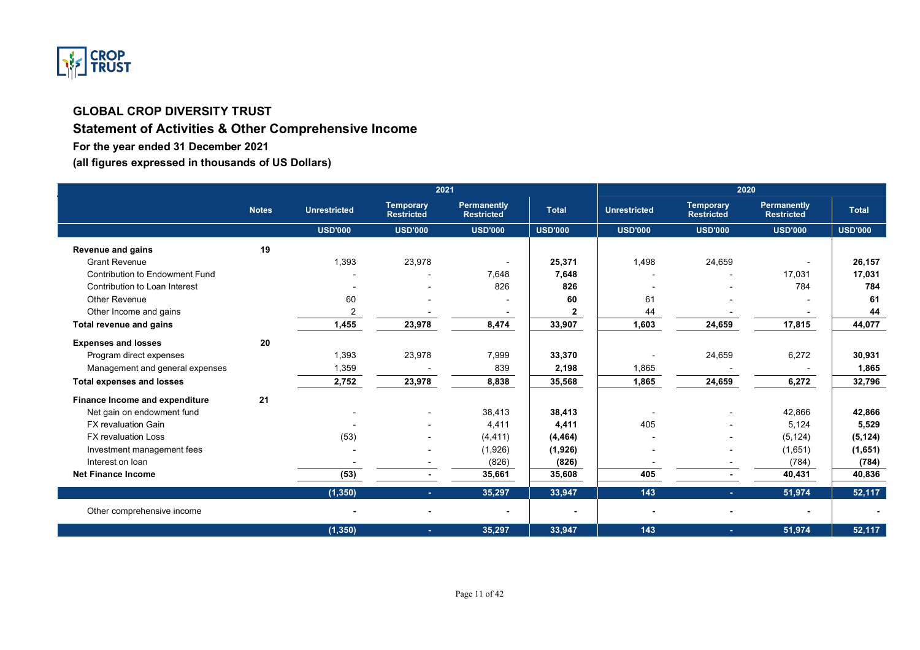

### **Statement of Activities & Other Comprehensive Income**

**For the year ended 31 December 2021**

<span id="page-10-0"></span>

|                                       |              |                     |                                       | 2021                                    |                |                     |                                       | 2020                             |                |
|---------------------------------------|--------------|---------------------|---------------------------------------|-----------------------------------------|----------------|---------------------|---------------------------------------|----------------------------------|----------------|
|                                       | <b>Notes</b> | <b>Unrestricted</b> | <b>Temporary</b><br><b>Restricted</b> | <b>Permanently</b><br><b>Restricted</b> | <b>Total</b>   | <b>Unrestricted</b> | <b>Temporary</b><br><b>Restricted</b> | Permanently<br><b>Restricted</b> | <b>Total</b>   |
|                                       |              | <b>USD'000</b>      | <b>USD'000</b>                        | <b>USD'000</b>                          | <b>USD'000</b> | <b>USD'000</b>      | <b>USD'000</b>                        | <b>USD'000</b>                   | <b>USD'000</b> |
| <b>Revenue and gains</b>              | 19           |                     |                                       |                                         |                |                     |                                       |                                  |                |
| <b>Grant Revenue</b>                  |              | 1,393               | 23,978                                |                                         | 25,371         | 1,498               | 24,659                                |                                  | 26,157         |
| <b>Contribution to Endowment Fund</b> |              |                     |                                       | 7.648                                   | 7,648          |                     |                                       | 17.031                           | 17,031         |
| Contribution to Loan Interest         |              |                     |                                       | 826                                     | 826            |                     |                                       | 784                              | 784            |
| Other Revenue                         |              | 60                  |                                       |                                         | 60             | 61                  |                                       |                                  | 61             |
| Other Income and gains                |              | $\overline{2}$      |                                       |                                         | $\mathbf{2}$   | 44                  |                                       |                                  | 44             |
| Total revenue and gains               |              | 1,455               | 23,978                                | 8,474                                   | 33,907         | 1,603               | 24,659                                | 17,815                           | 44,077         |
| <b>Expenses and losses</b>            | 20           |                     |                                       |                                         |                |                     |                                       |                                  |                |
| Program direct expenses               |              | 1,393               | 23,978                                | 7.999                                   | 33,370         |                     | 24,659                                | 6,272                            | 30,931         |
| Management and general expenses       |              | 1,359               |                                       | 839                                     | 2,198          | 1,865               |                                       |                                  | 1,865          |
| <b>Total expenses and losses</b>      |              | 2,752               | 23,978                                | 8,838                                   | 35,568         | 1,865               | 24,659                                | 6,272                            | 32,796         |
| Finance Income and expenditure        | 21           |                     |                                       |                                         |                |                     |                                       |                                  |                |
| Net gain on endowment fund            |              |                     |                                       | 38.413                                  | 38,413         |                     |                                       | 42.866                           | 42,866         |
| <b>FX</b> revaluation Gain            |              |                     |                                       | 4,411                                   | 4,411          | 405                 |                                       | 5,124                            | 5,529          |
| <b>FX</b> revaluation Loss            |              | (53)                |                                       | (4, 411)                                | (4, 464)       |                     |                                       | (5, 124)                         | (5, 124)       |
| Investment management fees            |              |                     |                                       | (1,926)                                 | (1, 926)       |                     |                                       | (1,651)                          | (1,651)        |
| Interest on loan                      |              |                     |                                       | (826)                                   | (826)          |                     |                                       | (784)                            | (784)          |
| <b>Net Finance Income</b>             |              | (53)                |                                       | 35,661                                  | 35,608         | 405                 |                                       | 40,431                           | 40,836         |
|                                       |              | (1, 350)            | ٠                                     | 35,297                                  | 33,947         | 143                 |                                       | 51,974                           | 52,117         |
| Other comprehensive income            |              |                     |                                       |                                         |                |                     |                                       |                                  |                |
|                                       |              | (1, 350)            | ٠                                     | 35,297                                  | 33,947         | 143                 | ×.                                    | 51,974                           | 52,117         |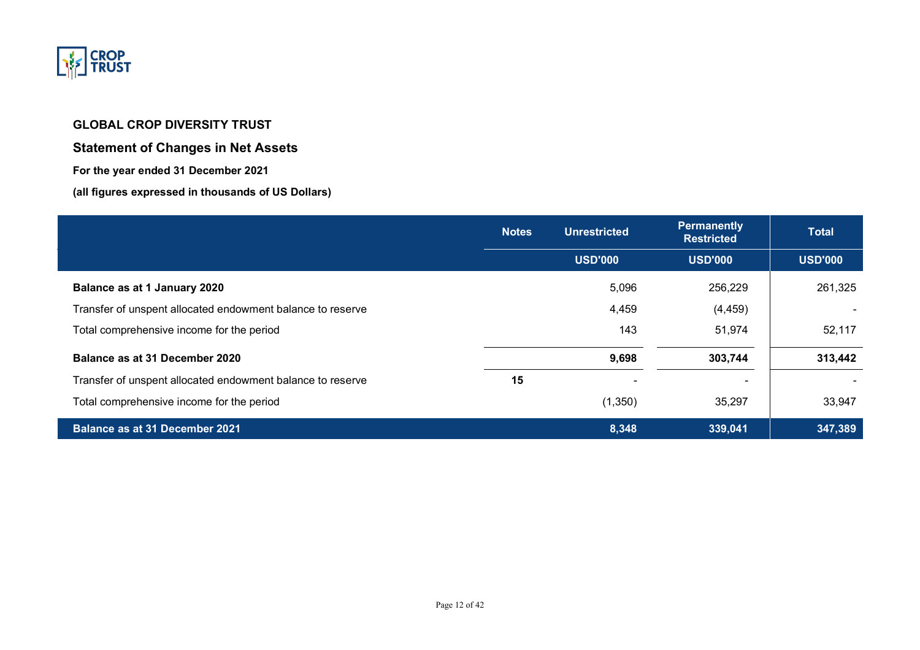

### **Statement of Changes in Net Assets**

**For the year ended 31 December 2021** 

<span id="page-11-0"></span>

|                                                            | <b>Notes</b> | <b>Unrestricted</b> | <b>Permanently</b><br><b>Restricted</b> | <b>Total</b>   |
|------------------------------------------------------------|--------------|---------------------|-----------------------------------------|----------------|
|                                                            |              | <b>USD'000</b>      | <b>USD'000</b>                          | <b>USD'000</b> |
| Balance as at 1 January 2020                               |              | 5,096               | 256,229                                 | 261,325        |
| Transfer of unspent allocated endowment balance to reserve |              | 4,459               | (4, 459)                                |                |
| Total comprehensive income for the period                  |              | 143                 | 51,974                                  | 52,117         |
| Balance as at 31 December 2020                             |              | 9,698               | 303,744                                 | 313,442        |
| Transfer of unspent allocated endowment balance to reserve | 15           |                     | $\qquad \qquad \blacksquare$            |                |
| Total comprehensive income for the period                  |              | (1,350)             | 35,297                                  | 33,947         |
| <b>Balance as at 31 December 2021</b>                      |              | 8,348               | 339,041                                 | 347,389        |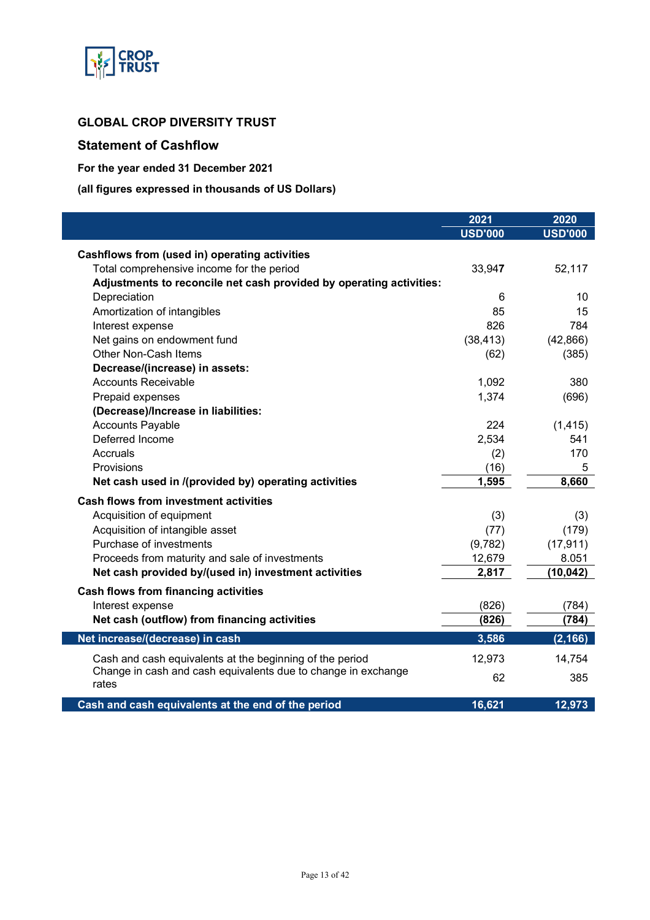

#### <span id="page-12-0"></span>**Statement of Cashflow**

### **For the year ended 31 December 2021**

|                                                                        | 2021           | 2020           |
|------------------------------------------------------------------------|----------------|----------------|
|                                                                        | <b>USD'000</b> | <b>USD'000</b> |
| Cashflows from (used in) operating activities                          |                |                |
| Total comprehensive income for the period                              | 33,947         | 52,117         |
| Adjustments to reconcile net cash provided by operating activities:    |                |                |
| Depreciation                                                           | 6              | 10             |
| Amortization of intangibles                                            | 85             | 15             |
| Interest expense                                                       | 826            | 784            |
| Net gains on endowment fund                                            | (38, 413)      | (42, 866)      |
| Other Non-Cash Items                                                   | (62)           | (385)          |
| Decrease/(increase) in assets:                                         |                |                |
| <b>Accounts Receivable</b>                                             | 1,092          | 380            |
| Prepaid expenses                                                       | 1,374          | (696)          |
| (Decrease)/Increase in liabilities:                                    |                |                |
| <b>Accounts Payable</b>                                                | 224            | (1, 415)       |
| Deferred Income                                                        | 2,534          | 541            |
| Accruals                                                               | (2)            | 170            |
| Provisions                                                             | (16)           | 5              |
| Net cash used in /(provided by) operating activities                   | 1,595          | 8,660          |
| <b>Cash flows from investment activities</b>                           |                |                |
| Acquisition of equipment                                               | (3)            | (3)            |
| Acquisition of intangible asset                                        | (77)           | (179)          |
| Purchase of investments                                                | (9,782)        | (17, 911)      |
| Proceeds from maturity and sale of investments                         | 12,679         | 8.051          |
| Net cash provided by/(used in) investment activities                   | 2,817          | (10, 042)      |
| Cash flows from financing activities                                   |                |                |
| Interest expense                                                       | (826)          | (784)          |
| Net cash (outflow) from financing activities                           | (826)          | (784)          |
| Net increase/(decrease) in cash                                        | 3,586          | (2, 166)       |
|                                                                        |                |                |
| Cash and cash equivalents at the beginning of the period               | 12,973         | 14,754         |
| Change in cash and cash equivalents due to change in exchange<br>rates | 62             | 385            |
| Cash and cash equivalents at the end of the period                     | 16,621         | 12,973         |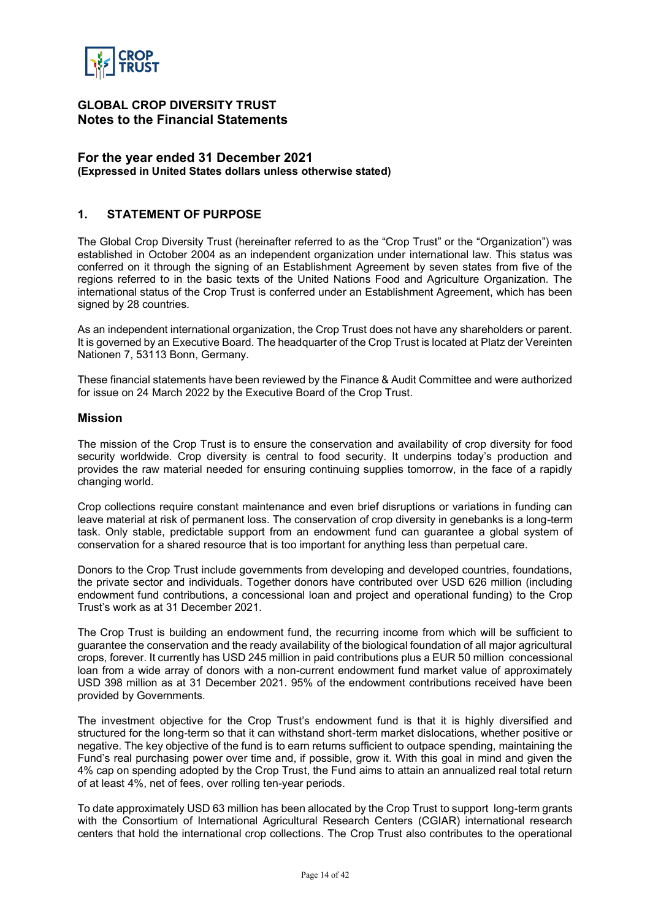

#### <span id="page-13-0"></span>**GLOBAL CROP DIVERSITY TRUST Notes to the Financial Statements**

#### **For the year ended 31 December 2021 (Expressed in United States dollars unless otherwise stated)**

### **1. STATEMENT OF PURPOSE**

The Global Crop Diversity Trust (hereinafter referred to as the "Crop Trust" or the "Organization") was established in October 2004 as an independent organization under international law. This status was conferred on it through the signing of an Establishment Agreement by seven states from five of the regions referred to in the basic texts of the United Nations Food and Agriculture Organization. The international status of the Crop Trust is conferred under an Establishment Agreement, which has been signed by 28 countries.

As an independent international organization, the Crop Trust does not have any shareholders or parent. It is governed by an Executive Board. The headquarter of the Crop Trust is located at Platz der Vereinten Nationen 7, 53113 Bonn, Germany.

These financial statements have been reviewed by the Finance & Audit Committee and were authorized for issue on 24 March 2022 by the Executive Board of the Crop Trust.

#### **Mission**

The mission of the Crop Trust is to ensure the conservation and availability of crop diversity for food security worldwide. Crop diversity is central to food security. It underpins today's production and provides the raw material needed for ensuring continuing supplies tomorrow, in the face of a rapidly changing world.

Crop collections require constant maintenance and even brief disruptions or variations in funding can leave material at risk of permanent loss. The conservation of crop diversity in genebanks is a long-term task. Only stable, predictable support from an endowment fund can guarantee a global system of conservation for a shared resource that is too important for anything less than perpetual care.

Donors to the Crop Trust include governments from developing and developed countries, foundations, the private sector and individuals. Together donors have contributed over USD 626 million (including endowment fund contributions, a concessional loan and project and operational funding) to the Crop Trust's work as at 31 December 2021.

The Crop Trust is building an endowment fund, the recurring income from which will be sufficient to guarantee the conservation and the ready availability of the biological foundation of all major agricultural crops, forever. It currently has USD 245 million in paid contributions plus a EUR 50 million concessional loan from a wide array of donors with a non-current endowment fund market value of approximately USD 398 million as at 31 December 2021. 95% of the endowment contributions received have been provided by Governments.

The investment objective for the Crop Trust's endowment fund is that it is highly diversified and structured for the long-term so that it can withstand short-term market dislocations, whether positive or negative. The key objective of the fund is to earn returns sufficient to outpace spending, maintaining the Fund's real purchasing power over time and, if possible, grow it. With this goal in mind and given the 4% cap on spending adopted by the Crop Trust, the Fund aims to attain an annualized real total return of at least 4%, net of fees, over rolling ten-year periods.

To date approximately USD 63 million has been allocated by the Crop Trust to support long-term grants with the Consortium of International Agricultural Research Centers (CGIAR) international research centers that hold the international crop collections. The Crop Trust also contributes to the operational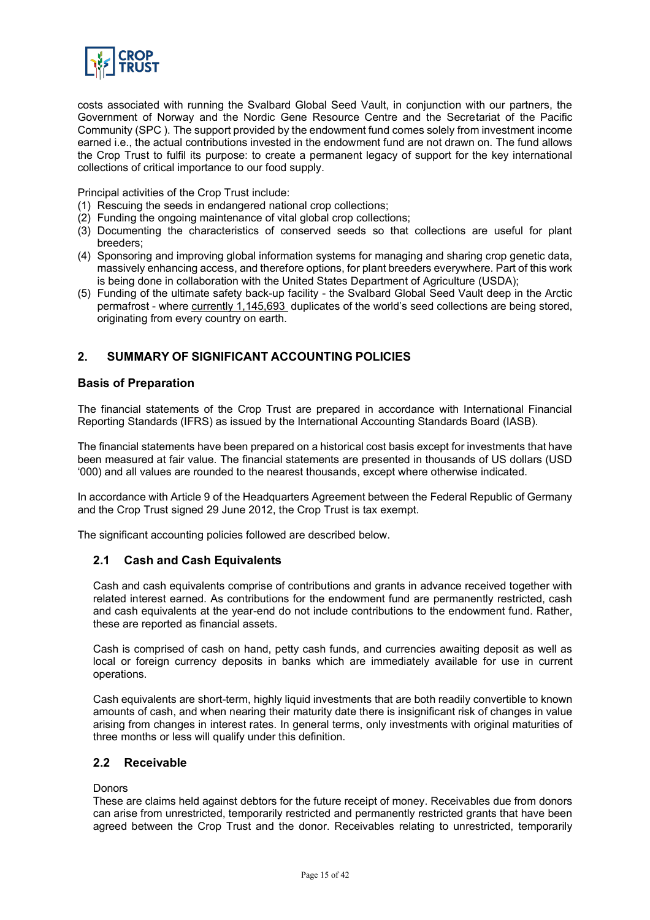

costs associated with running the Svalbard Global Seed Vault, in conjunction with our partners, the Government of Norway and the Nordic Gene Resource Centre and the Secretariat of the Pacific Community (SPC ). The support provided by the endowment fund comes solely from investment income earned i.e., the actual contributions invested in the endowment fund are not drawn on. The fund allows the Crop Trust to fulfil its purpose: to create a permanent legacy of support for the key international collections of critical importance to our food supply.

Principal activities of the Crop Trust include:

- (1) Rescuing the seeds in endangered national crop collections;
- (2) Funding the ongoing maintenance of vital global crop collections;
- (3) Documenting the characteristics of conserved seeds so that collections are useful for plant breeders;
- (4) Sponsoring and improving global information systems for managing and sharing crop genetic data, massively enhancing access, and therefore options, for plant breeders everywhere. Part of this work is being done in collaboration with the United States Department of Agriculture (USDA);
- (5) Funding of the ultimate safety back-up facility the Svalbard Global Seed Vault deep in the Arctic permafrost - where currently 1,145,693 duplicates of the world's seed collections are being stored, originating from every country on earth.

### **2. SUMMARY OF SIGNIFICANT ACCOUNTING POLICIES**

#### **Basis of Preparation**

The financial statements of the Crop Trust are prepared in accordance with International Financial Reporting Standards (IFRS) as issued by the International Accounting Standards Board (IASB).

The financial statements have been prepared on a historical cost basis except for investments that have been measured at fair value. The financial statements are presented in thousands of US dollars (USD '000) and all values are rounded to the nearest thousands, except where otherwise indicated.

In accordance with Article 9 of the Headquarters Agreement between the Federal Republic of Germany and the Crop Trust signed 29 June 2012, the Crop Trust is tax exempt.

The significant accounting policies followed are described below.

#### **2.1 Cash and Cash Equivalents**

Cash and cash equivalents comprise of contributions and grants in advance received together with related interest earned. As contributions for the endowment fund are permanently restricted, cash and cash equivalents at the year-end do not include contributions to the endowment fund. Rather, these are reported as financial assets.

Cash is comprised of cash on hand, petty cash funds, and currencies awaiting deposit as well as local or foreign currency deposits in banks which are immediately available for use in current operations.

Cash equivalents are short-term, highly liquid investments that are both readily convertible to known amounts of cash, and when nearing their maturity date there is insignificant risk of changes in value arising from changes in interest rates. In general terms, only investments with original maturities of three months or less will qualify under this definition.

#### **2.2 Receivable**

Donors

These are claims held against debtors for the future receipt of money. Receivables due from donors can arise from unrestricted, temporarily restricted and permanently restricted grants that have been agreed between the Crop Trust and the donor. Receivables relating to unrestricted, temporarily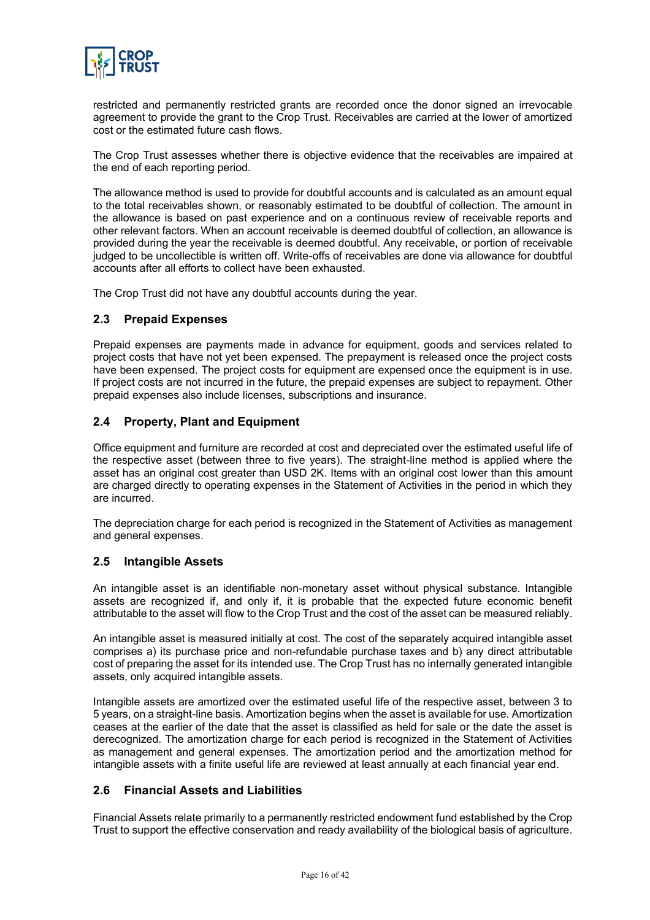

restricted and permanently restricted grants are recorded once the donor signed an irrevocable agreement to provide the grant to the Crop Trust. Receivables are carried at the lower of amortized cost or the estimated future cash flows.

The Crop Trust assesses whether there is objective evidence that the receivables are impaired at the end of each reporting period.

The allowance method is used to provide for doubtful accounts and is calculated as an amount equal to the total receivables shown, or reasonably estimated to be doubtful of collection. The amount in the allowance is based on past experience and on a continuous review of receivable reports and other relevant factors. When an account receivable is deemed doubtful of collection, an allowance is provided during the year the receivable is deemed doubtful. Any receivable, or portion of receivable judged to be uncollectible is written off. Write-offs of receivables are done via allowance for doubtful accounts after all efforts to collect have been exhausted.

The Crop Trust did not have any doubtful accounts during the year.

#### **2.3 Prepaid Expenses**

Prepaid expenses are payments made in advance for equipment, goods and services related to project costs that have not yet been expensed. The prepayment is released once the project costs have been expensed. The project costs for equipment are expensed once the equipment is in use. If project costs are not incurred in the future, the prepaid expenses are subject to repayment. Other prepaid expenses also include licenses, subscriptions and insurance.

#### **2.4 Property, Plant and Equipment**

Office equipment and furniture are recorded at cost and depreciated over the estimated useful life of the respective asset (between three to five years). The straight-line method is applied where the asset has an original cost greater than USD 2K. Items with an original cost lower than this amount are charged directly to operating expenses in the Statement of Activities in the period in which they are incurred.

The depreciation charge for each period is recognized in the Statement of Activities as management and general expenses.

#### **2.5 Intangible Assets**

An intangible asset is an identifiable non-monetary asset without physical substance. Intangible assets are recognized if, and only if, it is probable that the expected future economic benefit attributable to the asset will flow to the Crop Trust and the cost of the asset can be measured reliably.

An intangible asset is measured initially at cost. The cost of the separately acquired intangible asset comprises a) its purchase price and non-refundable purchase taxes and b) any direct attributable cost of preparing the asset for its intended use. The Crop Trust has no internally generated intangible assets, only acquired intangible assets.

Intangible assets are amortized over the estimated useful life of the respective asset, between 3 to 5 years, on a straight-line basis. Amortization begins when the asset is available for use. Amortization ceases at the earlier of the date that the asset is classified as held for sale or the date the asset is derecognized. The amortization charge for each period is recognized in the Statement of Activities as management and general expenses. The amortization period and the amortization method for intangible assets with a finite useful life are reviewed at least annually at each financial year end.

#### **2.6 Financial Assets and Liabilities**

Financial Assets relate primarily to a permanently restricted endowment fund established by the Crop Trust to support the effective conservation and ready availability of the biological basis of agriculture.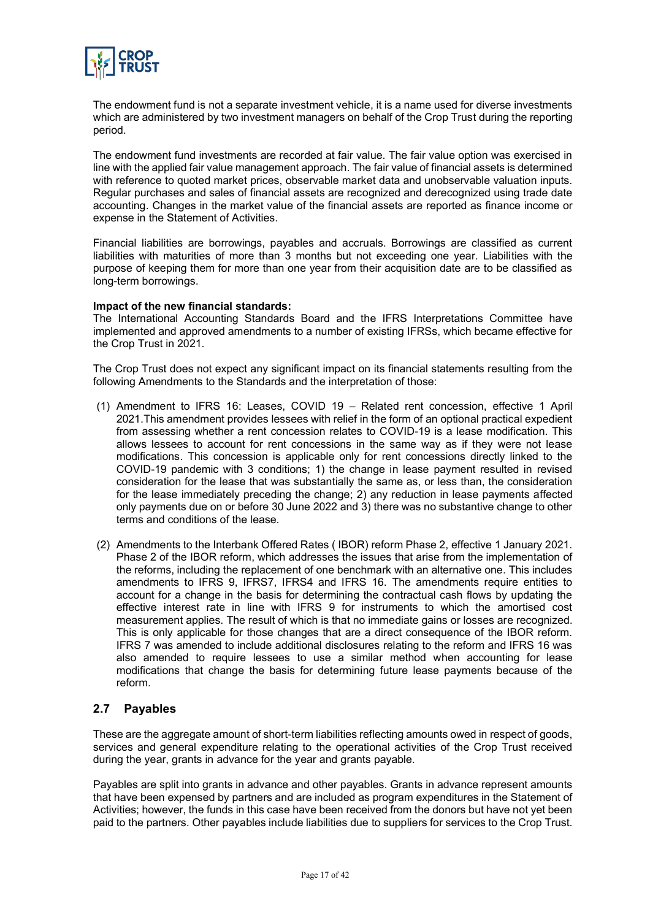

The endowment fund is not a separate investment vehicle, it is a name used for diverse investments which are administered by two investment managers on behalf of the Crop Trust during the reporting period.

The endowment fund investments are recorded at fair value. The fair value option was exercised in line with the applied fair value management approach. The fair value of financial assets is determined with reference to quoted market prices, observable market data and unobservable valuation inputs. Regular purchases and sales of financial assets are recognized and derecognized using trade date accounting. Changes in the market value of the financial assets are reported as finance income or expense in the Statement of Activities.

Financial liabilities are borrowings, payables and accruals. Borrowings are classified as current liabilities with maturities of more than 3 months but not exceeding one year. Liabilities with the purpose of keeping them for more than one year from their acquisition date are to be classified as long-term borrowings.

#### **Impact of the new financial standards:**

The International Accounting Standards Board and the IFRS Interpretations Committee have implemented and approved amendments to a number of existing IFRSs, which became effective for the Crop Trust in 2021.

The Crop Trust does not expect any significant impact on its financial statements resulting from the following Amendments to the Standards and the interpretation of those:

- (1) Amendment to IFRS 16: Leases, COVID 19 Related rent concession, effective 1 April 2021.This amendment provides lessees with relief in the form of an optional practical expedient from assessing whether a rent concession relates to COVID-19 is a lease modification. This allows lessees to account for rent concessions in the same way as if they were not lease modifications. This concession is applicable only for rent concessions directly linked to the COVID-19 pandemic with 3 conditions; 1) the change in lease payment resulted in revised consideration for the lease that was substantially the same as, or less than, the consideration for the lease immediately preceding the change; 2) any reduction in lease payments affected only payments due on or before 30 June 2022 and 3) there was no substantive change to other terms and conditions of the lease.
- (2) Amendments to the Interbank Offered Rates ( IBOR) reform Phase 2, effective 1 January 2021. Phase 2 of the IBOR reform, which addresses the issues that arise from the implementation of the reforms, including the replacement of one benchmark with an alternative one. This includes amendments to IFRS 9, IFRS7, IFRS4 and IFRS 16. The amendments require entities to account for a change in the basis for determining the contractual cash flows by updating the effective interest rate in line with IFRS 9 for instruments to which the amortised cost measurement applies. The result of which is that no immediate gains or losses are recognized. This is only applicable for those changes that are a direct consequence of the IBOR reform. IFRS 7 was amended to include additional disclosures relating to the reform and IFRS 16 was also amended to require lessees to use a similar method when accounting for lease modifications that change the basis for determining future lease payments because of the reform.

#### **2.7 Payables**

These are the aggregate amount of short-term liabilities reflecting amounts owed in respect of goods, services and general expenditure relating to the operational activities of the Crop Trust received during the year, grants in advance for the year and grants payable.

Payables are split into grants in advance and other payables. Grants in advance represent amounts that have been expensed by partners and are included as program expenditures in the Statement of Activities; however, the funds in this case have been received from the donors but have not yet been paid to the partners. Other payables include liabilities due to suppliers for services to the Crop Trust.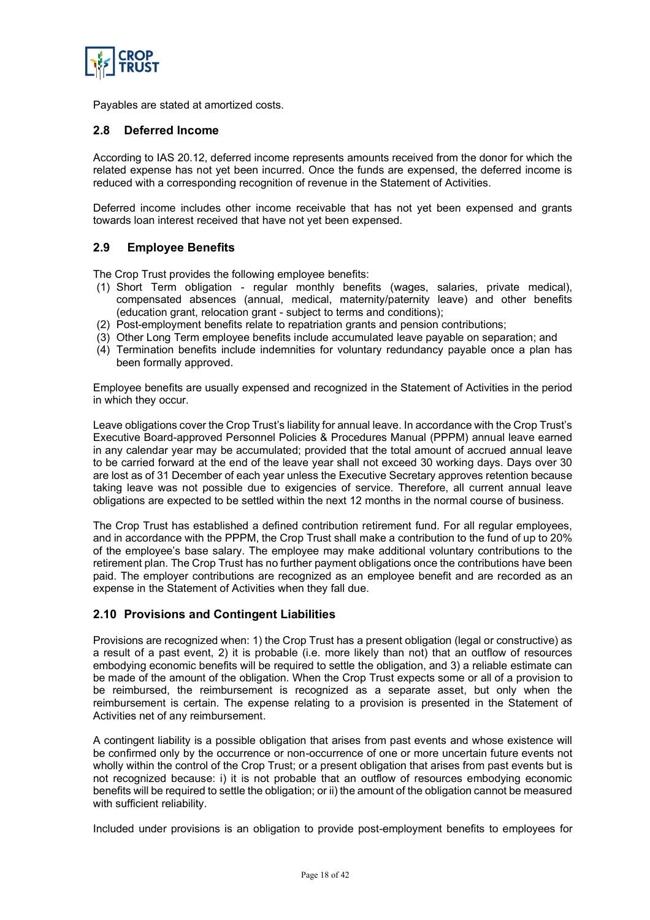

Payables are stated at amortized costs.

#### **2.8 Deferred Income**

According to IAS 20.12, deferred income represents amounts received from the donor for which the related expense has not yet been incurred. Once the funds are expensed, the deferred income is reduced with a corresponding recognition of revenue in the Statement of Activities.

Deferred income includes other income receivable that has not yet been expensed and grants towards loan interest received that have not yet been expensed.

#### **2.9 Employee Benefits**

The Crop Trust provides the following employee benefits:

- (1) Short Term obligation regular monthly benefits (wages, salaries, private medical), compensated absences (annual, medical, maternity/paternity leave) and other benefits (education grant, relocation grant - subject to terms and conditions);
- (2) Post-employment benefits relate to repatriation grants and pension contributions;
- (3) Other Long Term employee benefits include accumulated leave payable on separation; and
- (4) Termination benefits include indemnities for voluntary redundancy payable once a plan has been formally approved.

Employee benefits are usually expensed and recognized in the Statement of Activities in the period in which they occur.

Leave obligations cover the Crop Trust's liability for annual leave. In accordance with the Crop Trust's Executive Board-approved Personnel Policies & Procedures Manual (PPPM) annual leave earned in any calendar year may be accumulated; provided that the total amount of accrued annual leave to be carried forward at the end of the leave year shall not exceed 30 working days. Days over 30 are lost as of 31 December of each year unless the Executive Secretary approves retention because taking leave was not possible due to exigencies of service. Therefore, all current annual leave obligations are expected to be settled within the next 12 months in the normal course of business.

The Crop Trust has established a defined contribution retirement fund. For all regular employees, and in accordance with the PPPM, the Crop Trust shall make a contribution to the fund of up to 20% of the employee's base salary. The employee may make additional voluntary contributions to the retirement plan. The Crop Trust has no further payment obligations once the contributions have been paid. The employer contributions are recognized as an employee benefit and are recorded as an expense in the Statement of Activities when they fall due.

#### **2.10 Provisions and Contingent Liabilities**

Provisions are recognized when: 1) the Crop Trust has a present obligation (legal or constructive) as a result of a past event, 2) it is probable (i.e. more likely than not) that an outflow of resources embodying economic benefits will be required to settle the obligation, and 3) a reliable estimate can be made of the amount of the obligation. When the Crop Trust expects some or all of a provision to be reimbursed, the reimbursement is recognized as a separate asset, but only when the reimbursement is certain. The expense relating to a provision is presented in the Statement of Activities net of any reimbursement.

A contingent liability is a possible obligation that arises from past events and whose existence will be confirmed only by the occurrence or non-occurrence of one or more uncertain future events not wholly within the control of the Crop Trust; or a present obligation that arises from past events but is not recognized because: i) it is not probable that an outflow of resources embodying economic benefits will be required to settle the obligation; or ii) the amount of the obligation cannot be measured with sufficient reliability.

Included under provisions is an obligation to provide post-employment benefits to employees for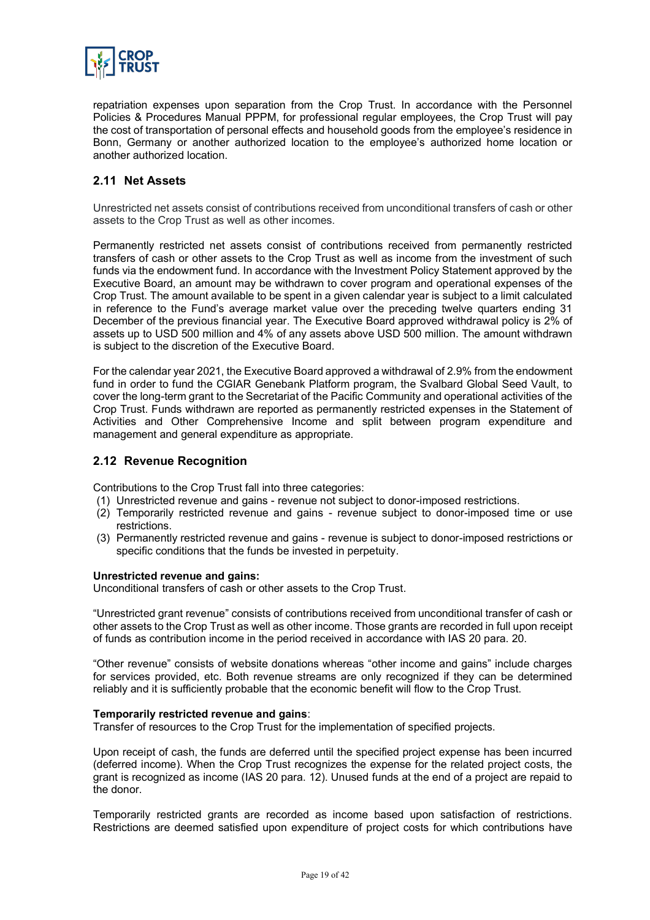

repatriation expenses upon separation from the Crop Trust. In accordance with the Personnel Policies & Procedures Manual PPPM, for professional regular employees, the Crop Trust will pay the cost of transportation of personal effects and household goods from the employee's residence in Bonn, Germany or another authorized location to the employee's authorized home location or another authorized location.

#### **2.11 Net Assets**

Unrestricted net assets consist of contributions received from unconditional transfers of cash or other assets to the Crop Trust as well as other incomes.

Permanently restricted net assets consist of contributions received from permanently restricted transfers of cash or other assets to the Crop Trust as well as income from the investment of such funds via the endowment fund. In accordance with the Investment Policy Statement approved by the Executive Board, an amount may be withdrawn to cover program and operational expenses of the Crop Trust. The amount available to be spent in a given calendar year is subject to a limit calculated in reference to the Fund's average market value over the preceding twelve quarters ending 31 December of the previous financial year. The Executive Board approved withdrawal policy is 2% of assets up to USD 500 million and 4% of any assets above USD 500 million. The amount withdrawn is subject to the discretion of the Executive Board.

For the calendar year 2021, the Executive Board approved a withdrawal of 2.9% from the endowment fund in order to fund the CGIAR Genebank Platform program, the Svalbard Global Seed Vault, to cover the long-term grant to the Secretariat of the Pacific Community and operational activities of the Crop Trust. Funds withdrawn are reported as permanently restricted expenses in the Statement of Activities and Other Comprehensive Income and split between program expenditure and management and general expenditure as appropriate.

#### **2.12 Revenue Recognition**

Contributions to the Crop Trust fall into three categories:

- (1) Unrestricted revenue and gains revenue not subject to donor-imposed restrictions.
- (2) Temporarily restricted revenue and gains revenue subject to donor-imposed time or use restrictions.
- (3) Permanently restricted revenue and gains revenue is subject to donor-imposed restrictions or specific conditions that the funds be invested in perpetuity.

#### **Unrestricted revenue and gains:**

Unconditional transfers of cash or other assets to the Crop Trust.

"Unrestricted grant revenue" consists of contributions received from unconditional transfer of cash or other assets to the Crop Trust as well as other income. Those grants are recorded in full upon receipt of funds as contribution income in the period received in accordance with IAS 20 para. 20.

"Other revenue" consists of website donations whereas "other income and gains" include charges for services provided, etc. Both revenue streams are only recognized if they can be determined reliably and it is sufficiently probable that the economic benefit will flow to the Crop Trust.

#### **Temporarily restricted revenue and gains**:

Transfer of resources to the Crop Trust for the implementation of specified projects.

Upon receipt of cash, the funds are deferred until the specified project expense has been incurred (deferred income). When the Crop Trust recognizes the expense for the related project costs, the grant is recognized as income (IAS 20 para. 12). Unused funds at the end of a project are repaid to the donor.

Temporarily restricted grants are recorded as income based upon satisfaction of restrictions. Restrictions are deemed satisfied upon expenditure of project costs for which contributions have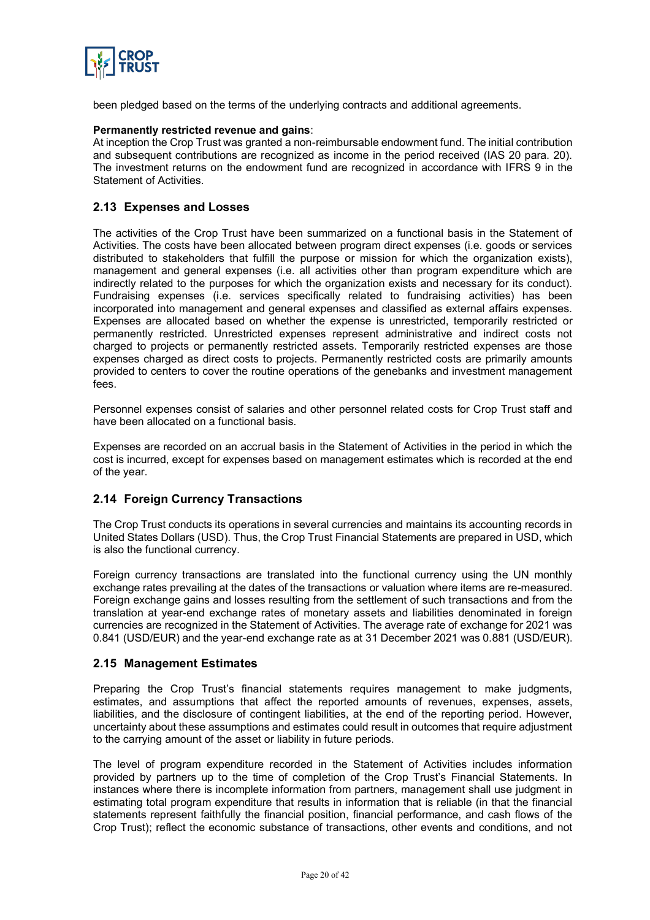

been pledged based on the terms of the underlying contracts and additional agreements.

#### **Permanently restricted revenue and gains**:

At inception the Crop Trust was granted a non-reimbursable endowment fund. The initial contribution and subsequent contributions are recognized as income in the period received (IAS 20 para. 20). The investment returns on the endowment fund are recognized in accordance with IFRS 9 in the Statement of Activities.

#### **2.13 Expenses and Losses**

The activities of the Crop Trust have been summarized on a functional basis in the Statement of Activities. The costs have been allocated between program direct expenses (i.e. goods or services distributed to stakeholders that fulfill the purpose or mission for which the organization exists), management and general expenses (i.e. all activities other than program expenditure which are indirectly related to the purposes for which the organization exists and necessary for its conduct). Fundraising expenses (i.e. services specifically related to fundraising activities) has been incorporated into management and general expenses and classified as external affairs expenses. Expenses are allocated based on whether the expense is unrestricted, temporarily restricted or permanently restricted. Unrestricted expenses represent administrative and indirect costs not charged to projects or permanently restricted assets. Temporarily restricted expenses are those expenses charged as direct costs to projects. Permanently restricted costs are primarily amounts provided to centers to cover the routine operations of the genebanks and investment management fees.

Personnel expenses consist of salaries and other personnel related costs for Crop Trust staff and have been allocated on a functional basis.

Expenses are recorded on an accrual basis in the Statement of Activities in the period in which the cost is incurred, except for expenses based on management estimates which is recorded at the end of the year.

#### **2.14 Foreign Currency Transactions**

The Crop Trust conducts its operations in several currencies and maintains its accounting records in United States Dollars (USD). Thus, the Crop Trust Financial Statements are prepared in USD, which is also the functional currency.

Foreign currency transactions are translated into the functional currency using the UN monthly exchange rates prevailing at the dates of the transactions or valuation where items are re-measured. Foreign exchange gains and losses resulting from the settlement of such transactions and from the translation at year-end exchange rates of monetary assets and liabilities denominated in foreign currencies are recognized in the Statement of Activities. The average rate of exchange for 2021 was 0.841 (USD/EUR) and the year-end exchange rate as at 31 December 2021 was 0.881 (USD/EUR).

#### **2.15 Management Estimates**

Preparing the Crop Trust's financial statements requires management to make judgments, estimates, and assumptions that affect the reported amounts of revenues, expenses, assets, liabilities, and the disclosure of contingent liabilities, at the end of the reporting period. However, uncertainty about these assumptions and estimates could result in outcomes that require adjustment to the carrying amount of the asset or liability in future periods.

The level of program expenditure recorded in the Statement of Activities includes information provided by partners up to the time of completion of the Crop Trust's Financial Statements. In instances where there is incomplete information from partners, management shall use judgment in estimating total program expenditure that results in information that is reliable (in that the financial statements represent faithfully the financial position, financial performance, and cash flows of the Crop Trust); reflect the economic substance of transactions, other events and conditions, and not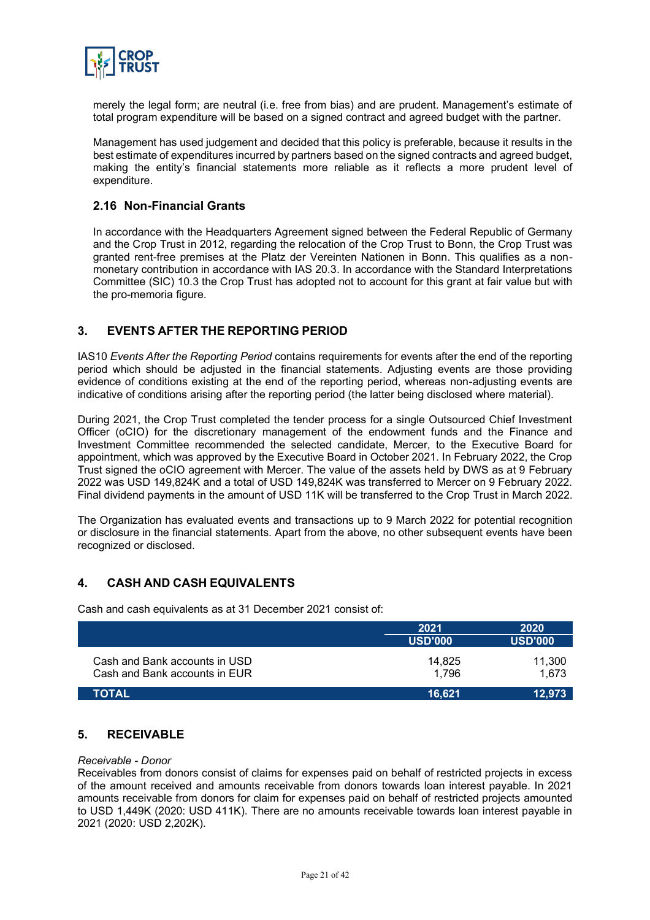

merely the legal form; are neutral (i.e. free from bias) and are prudent. Management's estimate of total program expenditure will be based on a signed contract and agreed budget with the partner.

Management has used judgement and decided that this policy is preferable, because it results in the best estimate of expenditures incurred by partners based on the signed contracts and agreed budget, making the entity's financial statements more reliable as it reflects a more prudent level of expenditure.

#### **2.16 Non-Financial Grants**

In accordance with the Headquarters Agreement signed between the Federal Republic of Germany and the Crop Trust in 2012, regarding the relocation of the Crop Trust to Bonn, the Crop Trust was granted rent-free premises at the Platz der Vereinten Nationen in Bonn. This qualifies as a nonmonetary contribution in accordance with IAS 20.3. In accordance with the Standard Interpretations Committee (SIC) 10.3 the Crop Trust has adopted not to account for this grant at fair value but with the pro-memoria figure.

#### **3. EVENTS AFTER THE REPORTING PERIOD**

IAS10 *Events After the Reporting Period* contains requirements for events after the end of the reporting period which should be adjusted in the financial statements. Adjusting events are those providing evidence of conditions existing at the end of the reporting period, whereas non-adjusting events are indicative of conditions arising after the reporting period (the latter being disclosed where material).

During 2021, the Crop Trust completed the tender process for a single Outsourced Chief Investment Officer (oCIO) for the discretionary management of the endowment funds and the Finance and Investment Committee recommended the selected candidate, Mercer, to the Executive Board for appointment, which was approved by the Executive Board in October 2021. In February 2022, the Crop Trust signed the oCIO agreement with Mercer. The value of the assets held by DWS as at 9 February 2022 was USD 149,824K and a total of USD 149,824K was transferred to Mercer on 9 February 2022. Final dividend payments in the amount of USD 11K will be transferred to the Crop Trust in March 2022.

The Organization has evaluated events and transactions up to 9 March 2022 for potential recognition or disclosure in the financial statements. Apart from the above, no other subsequent events have been recognized or disclosed.

#### **4. CASH AND CASH EQUIVALENTS**

Cash and cash equivalents as at 31 December 2021 consist of:

|                               | 2021           | 2020    |
|-------------------------------|----------------|---------|
|                               | <b>USD'000</b> | USD'000 |
| Cash and Bank accounts in USD | 14.825         | 11,300  |
| Cash and Bank accounts in EUR | 1.796          | 1.673   |
| TOTAL                         | 16,621         | 12,973  |

#### **5. RECEIVABLE**

#### *Receivable - Donor*

Receivables from donors consist of claims for expenses paid on behalf of restricted projects in excess of the amount received and amounts receivable from donors towards loan interest payable. In 2021 amounts receivable from donors for claim for expenses paid on behalf of restricted projects amounted to USD 1,449K (2020: USD 411K). There are no amounts receivable towards loan interest payable in 2021 (2020: USD 2,202K).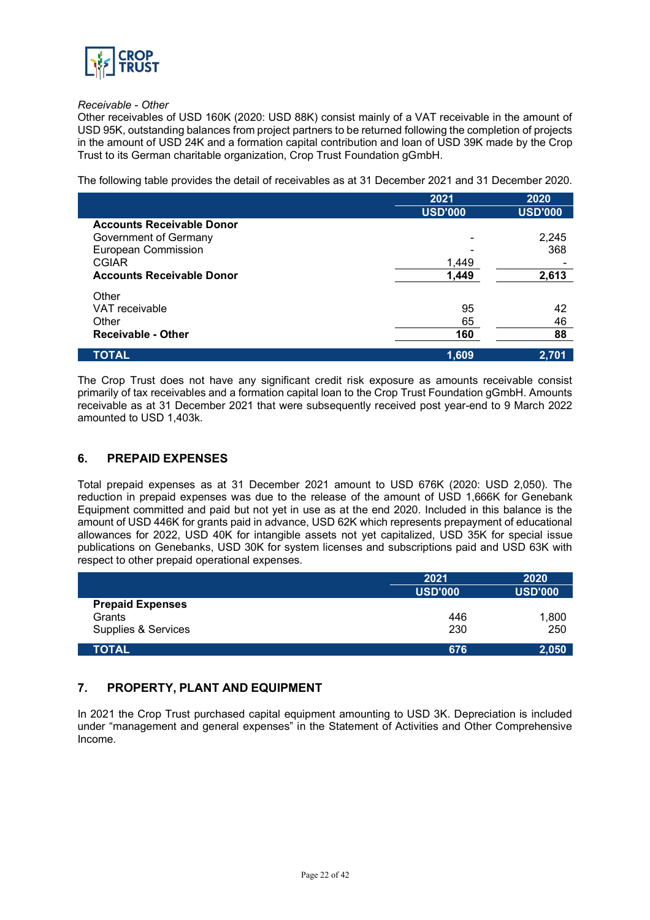

#### *Receivable - Other*

Other receivables of USD 160K (2020: USD 88K) consist mainly of a VAT receivable in the amount of USD 95K, outstanding balances from project partners to be returned following the completion of projects in the amount of USD 24K and a formation capital contribution and loan of USD 39K made by the Crop Trust to its German charitable organization, Crop Trust Foundation gGmbH.

The following table provides the detail of receivables as at 31 December 2021 and 31 December 2020.

|                                  | 2021           | 2020           |
|----------------------------------|----------------|----------------|
|                                  | <b>USD'000</b> | <b>USD'000</b> |
| <b>Accounts Receivable Donor</b> |                |                |
| Government of Germany            |                | 2,245          |
| European Commission              |                | 368            |
| <b>CGIAR</b>                     | 1,449          |                |
| <b>Accounts Receivable Donor</b> | 1,449          | 2,613          |
| Other                            |                |                |
| VAT receivable                   | 95             | 42             |
| Other                            | 65             | 46             |
| <b>Receivable - Other</b>        | 160            | 88             |
| TOTAL                            | 1,609          | 2,701          |

The Crop Trust does not have any significant credit risk exposure as amounts receivable consist primarily of tax receivables and a formation capital loan to the Crop Trust Foundation gGmbH. Amounts receivable as at 31 December 2021 that were subsequently received post year-end to 9 March 2022 amounted to USD 1,403k.

#### **6. PREPAID EXPENSES**

Total prepaid expenses as at 31 December 2021 amount to USD 676K (2020: USD 2,050). The reduction in prepaid expenses was due to the release of the amount of USD 1,666K for Genebank Equipment committed and paid but not yet in use as at the end 2020. Included in this balance is the amount of USD 446K for grants paid in advance, USD 62K which represents prepayment of educational allowances for 2022, USD 40K for intangible assets not yet capitalized, USD 35K for special issue publications on Genebanks, USD 30K for system licenses and subscriptions paid and USD 63K with respect to other prepaid operational expenses.

|                         | 2021           | 2020           |
|-------------------------|----------------|----------------|
|                         | <b>USD'000</b> | <b>USD'000</b> |
| <b>Prepaid Expenses</b> |                |                |
| Grants                  | 446            | 1,800          |
| Supplies & Services     | 230            | 250            |
| <b>TOTAL</b>            | 676            | 2.050          |

#### **7. PROPERTY, PLANT AND EQUIPMENT**

In 2021 the Crop Trust purchased capital equipment amounting to USD 3K. Depreciation is included under "management and general expenses" in the Statement of Activities and Other Comprehensive Income.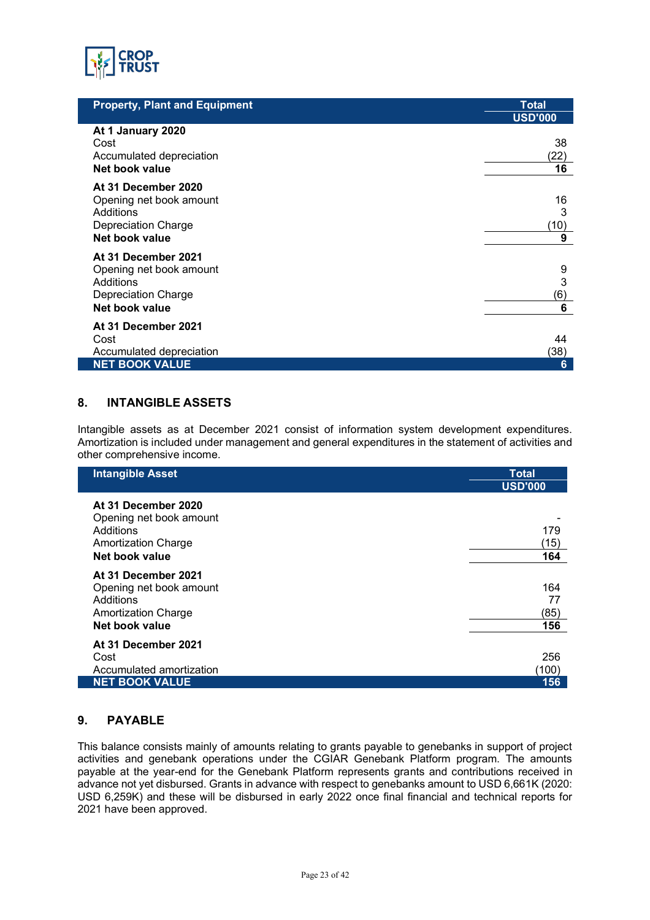

| <b>Property, Plant and Equipment</b> | Total          |
|--------------------------------------|----------------|
|                                      | <b>USD'000</b> |
| At 1 January 2020                    |                |
| Cost                                 | 38             |
| Accumulated depreciation             | (22)           |
| Net book value                       | 16             |
| At 31 December 2020                  |                |
| Opening net book amount              | 16             |
| Additions                            | 3              |
| Depreciation Charge                  | (10)           |
| Net book value                       | 9              |
|                                      |                |
| At 31 December 2021                  |                |
| Opening net book amount              | 9              |
| Additions                            | 3              |
| Depreciation Charge                  | (6)            |
| Net book value                       | 6              |
| At 31 December 2021                  |                |
| Cost                                 | 44             |
|                                      |                |
| Accumulated depreciation             | (38)           |
| <b>NET BOOK VALUE</b>                | 6              |

#### **8. INTANGIBLE ASSETS**

Intangible assets as at December 2021 consist of information system development expenditures. Amortization is included under management and general expenditures in the statement of activities and other comprehensive income.

| <b>Intangible Asset</b>    | <b>Total</b>   |
|----------------------------|----------------|
|                            | <b>USD'000</b> |
| At 31 December 2020        |                |
| Opening net book amount    |                |
| Additions                  | 179            |
| <b>Amortization Charge</b> | (15)           |
| Net book value             | 164            |
| At 31 December 2021        |                |
| Opening net book amount    | 164            |
| Additions                  | 77             |
| <b>Amortization Charge</b> | (85)           |
| Net book value             | 156            |
| At 31 December 2021        |                |
| Cost                       | 256            |
| Accumulated amortization   | (100)          |
| <b>NET BOOK VALUE</b>      | 156            |

#### **9. PAYABLE**

This balance consists mainly of amounts relating to grants payable to genebanks in support of project activities and genebank operations under the CGIAR Genebank Platform program. The amounts payable at the year-end for the Genebank Platform represents grants and contributions received in advance not yet disbursed. Grants in advance with respect to genebanks amount to USD 6,661K (2020: USD 6,259K) and these will be disbursed in early 2022 once final financial and technical reports for 2021 have been approved.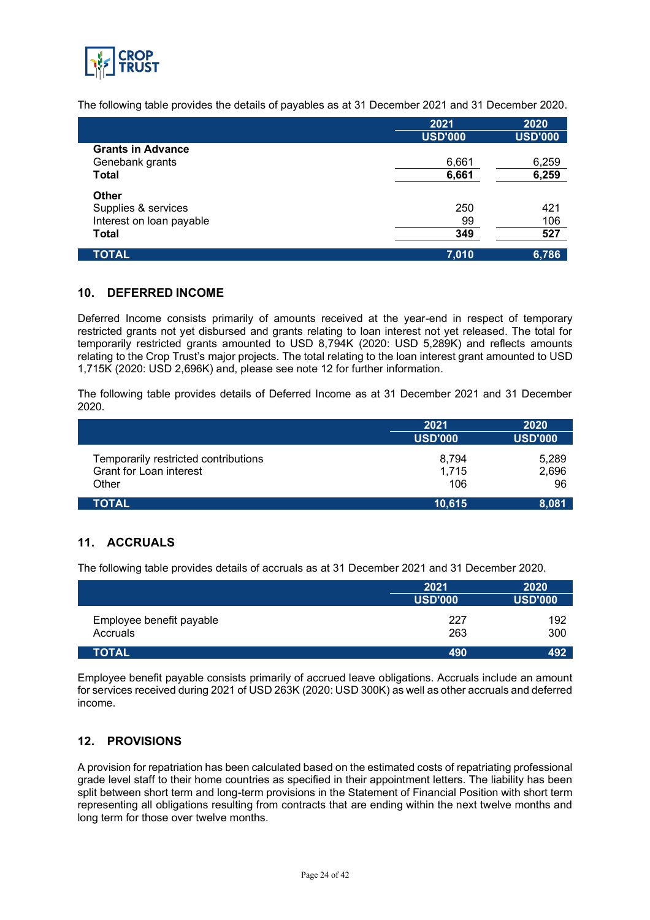

The following table provides the details of payables as at 31 December 2021 and 31 December 2020.

|                          | 2021           | 2020           |
|--------------------------|----------------|----------------|
|                          | <b>USD'000</b> | <b>USD'000</b> |
| <b>Grants in Advance</b> |                |                |
| Genebank grants          | 6,661          | 6,259          |
| Total                    | 6,661          | 6,259          |
| <b>Other</b>             |                |                |
| Supplies & services      | 250            | 421            |
| Interest on loan payable | 99             | 106            |
| Total                    | 349            | 527            |
| TOTAL                    | 7,010          | 6,786          |

#### **10. DEFERRED INCOME**

Deferred Income consists primarily of amounts received at the year-end in respect of temporary restricted grants not yet disbursed and grants relating to loan interest not yet released. The total for temporarily restricted grants amounted to USD 8,794K (2020: USD 5,289K) and reflects amounts relating to the Crop Trust's major projects. The total relating to the loan interest grant amounted to USD 1,715K (2020: USD 2,696K) and, please see note 12 for further information.

The following table provides details of Deferred Income as at 31 December 2021 and 31 December 2020.

|                                      | 2021           | 2020           |
|--------------------------------------|----------------|----------------|
|                                      | <b>USD'000</b> | <b>USD'000</b> |
| Temporarily restricted contributions | 8.794          | 5,289          |
| Grant for Loan interest              | 1,715          | 2,696          |
| Other                                | 106            | 96             |
| <b>TOTAL</b>                         | 10,615         | 8,081          |

### **11. ACCRUALS**

The following table provides details of accruals as at 31 December 2021 and 31 December 2020.

|                                      | 2021<br><b>USD'000</b> | 2020<br><b>USD'000</b> |
|--------------------------------------|------------------------|------------------------|
| Employee benefit payable<br>Accruals | 227<br>263             | 192<br>300             |
| <b>TOTAL</b>                         | 490                    | 492                    |

Employee benefit payable consists primarily of accrued leave obligations. Accruals include an amount for services received during 2021 of USD 263K (2020: USD 300K) as well as other accruals and deferred income.

#### **12. PROVISIONS**

A provision for repatriation has been calculated based on the estimated costs of repatriating professional grade level staff to their home countries as specified in their appointment letters. The liability has been split between short term and long-term provisions in the Statement of Financial Position with short term representing all obligations resulting from contracts that are ending within the next twelve months and long term for those over twelve months.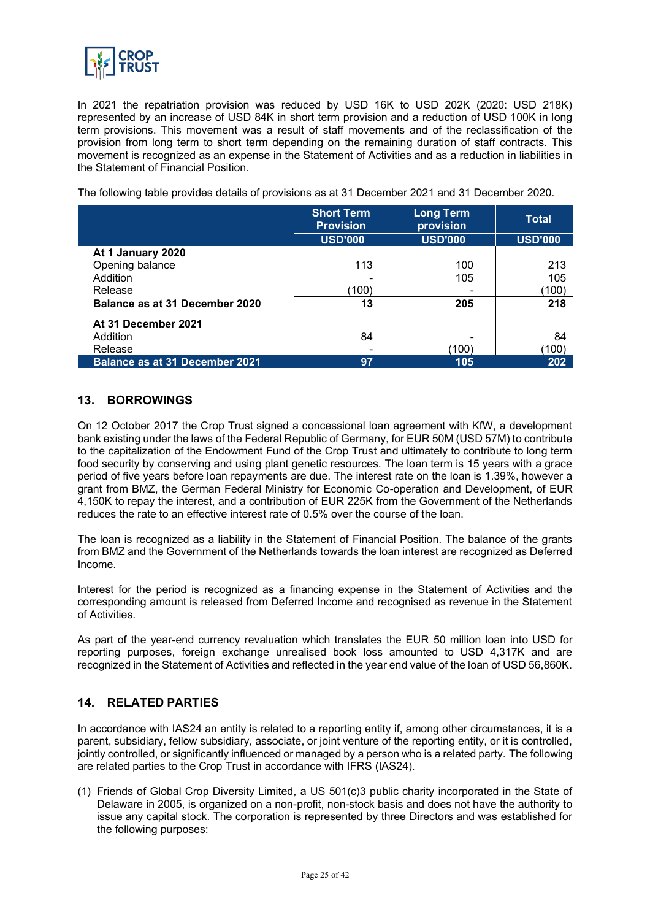

In 2021 the repatriation provision was reduced by USD 16K to USD 202K (2020: USD 218K) represented by an increase of USD 84K in short term provision and a reduction of USD 100K in long term provisions. This movement was a result of staff movements and of the reclassification of the provision from long term to short term depending on the remaining duration of staff contracts. This movement is recognized as an expense in the Statement of Activities and as a reduction in liabilities in the Statement of Financial Position.

The following table provides details of provisions as at 31 December 2021 and 31 December 2020.

|                                       | <b>Short Term</b><br><b>Provision</b> | <b>Long Term</b><br>provision | <b>Total</b>   |
|---------------------------------------|---------------------------------------|-------------------------------|----------------|
|                                       | <b>USD'000</b>                        | <b>USD'000</b>                | <b>USD'000</b> |
| At 1 January 2020                     |                                       |                               |                |
| Opening balance                       | 113                                   | 100                           | 213            |
| Addition                              |                                       | 105                           | 105            |
| Release                               | (100)                                 |                               | (100)          |
| Balance as at 31 December 2020        | 13                                    | 205                           | 218            |
| At 31 December 2021                   |                                       |                               |                |
| Addition                              | 84                                    |                               | 84             |
| Release                               |                                       | (100)                         | (100)          |
| <b>Balance as at 31 December 2021</b> | 97                                    | 105                           | 202            |

#### **13. BORROWINGS**

On 12 October 2017 the Crop Trust signed a concessional loan agreement with KfW, a development bank existing under the laws of the Federal Republic of Germany, for EUR 50M (USD 57M) to contribute to the capitalization of the Endowment Fund of the Crop Trust and ultimately to contribute to long term food security by conserving and using plant genetic resources. The loan term is 15 years with a grace period of five years before loan repayments are due. The interest rate on the loan is 1.39%, however a grant from BMZ, the German Federal Ministry for Economic Co-operation and Development, of EUR 4,150K to repay the interest, and a contribution of EUR 225K from the Government of the Netherlands reduces the rate to an effective interest rate of 0.5% over the course of the loan.

The loan is recognized as a liability in the Statement of Financial Position. The balance of the grants from BMZ and the Government of the Netherlands towards the loan interest are recognized as Deferred Income.

Interest for the period is recognized as a financing expense in the Statement of Activities and the corresponding amount is released from Deferred Income and recognised as revenue in the Statement of Activities.

As part of the year-end currency revaluation which translates the EUR 50 million loan into USD for reporting purposes, foreign exchange unrealised book loss amounted to USD 4,317K and are recognized in the Statement of Activities and reflected in the year end value of the loan of USD 56,860K.

#### **14. RELATED PARTIES**

In accordance with IAS24 an entity is related to a reporting entity if, among other circumstances, it is a parent, subsidiary, fellow subsidiary, associate, or joint venture of the reporting entity, or it is controlled, jointly controlled, or significantly influenced or managed by a person who is a related party. The following are related parties to the Crop Trust in accordance with IFRS (IAS24).

(1) Friends of Global Crop Diversity Limited, a US 501(c)3 public charity incorporated in the State of Delaware in 2005, is organized on a non-profit, non-stock basis and does not have the authority to issue any capital stock. The corporation is represented by three Directors and was established for the following purposes: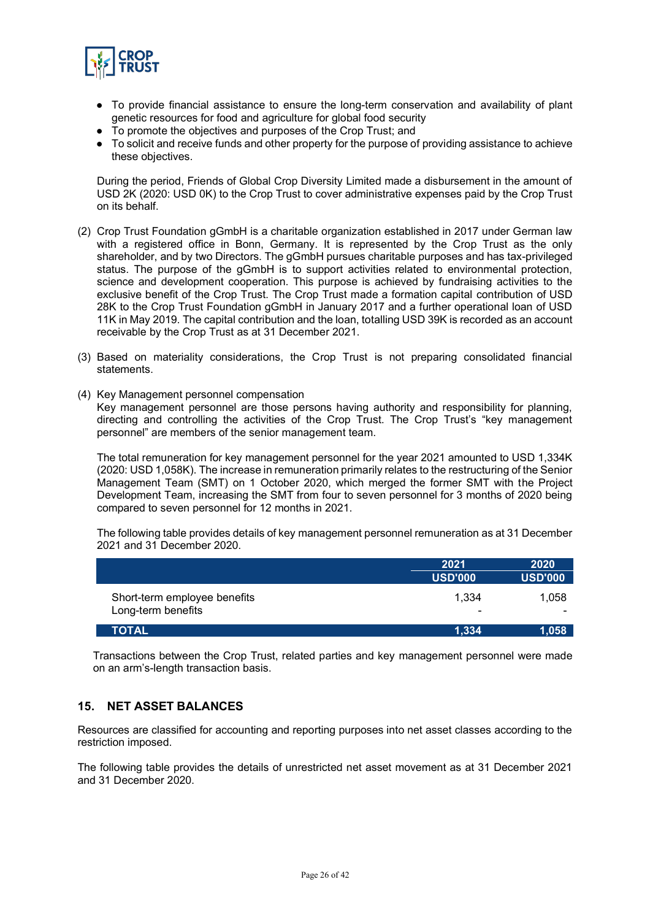

- To provide financial assistance to ensure the long-term conservation and availability of plant genetic resources for food and agriculture for global food security
- To promote the objectives and purposes of the Crop Trust; and
- To solicit and receive funds and other property for the purpose of providing assistance to achieve these objectives.

During the period, Friends of Global Crop Diversity Limited made a disbursement in the amount of USD 2K (2020: USD 0K) to the Crop Trust to cover administrative expenses paid by the Crop Trust on its behalf.

- (2) Crop Trust Foundation gGmbH is a charitable organization established in 2017 under German law with a registered office in Bonn, Germany. It is represented by the Crop Trust as the only shareholder, and by two Directors. The gGmbH pursues charitable purposes and has tax-privileged status. The purpose of the gGmbH is to support activities related to environmental protection, science and development cooperation. This purpose is achieved by fundraising activities to the exclusive benefit of the Crop Trust. The Crop Trust made a formation capital contribution of USD 28K to the Crop Trust Foundation gGmbH in January 2017 and a further operational loan of USD 11K in May 2019. The capital contribution and the loan, totalling USD 39K is recorded as an account receivable by the Crop Trust as at 31 December 2021.
- (3) Based on materiality considerations, the Crop Trust is not preparing consolidated financial statements.
- (4) Key Management personnel compensation

Key management personnel are those persons having authority and responsibility for planning, directing and controlling the activities of the Crop Trust. The Crop Trust's "key management personnel" are members of the senior management team.

The total remuneration for key management personnel for the year 2021 amounted to USD 1,334K (2020: USD 1,058K). The increase in remuneration primarily relates to the restructuring of the Senior Management Team (SMT) on 1 October 2020, which merged the former SMT with the Project Development Team, increasing the SMT from four to seven personnel for 3 months of 2020 being compared to seven personnel for 12 months in 2021.

The following table provides details of key management personnel remuneration as at 31 December 2021 and 31 December 2020.

|                                                    | 2021           | 2020                              |
|----------------------------------------------------|----------------|-----------------------------------|
|                                                    | <b>USD'000</b> | <b>USD'000</b>                    |
| Short-term employee benefits<br>Long-term benefits | 1.334<br>-     | 1,058<br>$\overline{\phantom{0}}$ |
| TOTAL                                              | 1,334          | 1,058                             |

Transactions between the Crop Trust, related parties and key management personnel were made on an arm's-length transaction basis.

#### **15. NET ASSET BALANCES**

Resources are classified for accounting and reporting purposes into net asset classes according to the restriction imposed.

The following table provides the details of unrestricted net asset movement as at 31 December 2021 and 31 December 2020.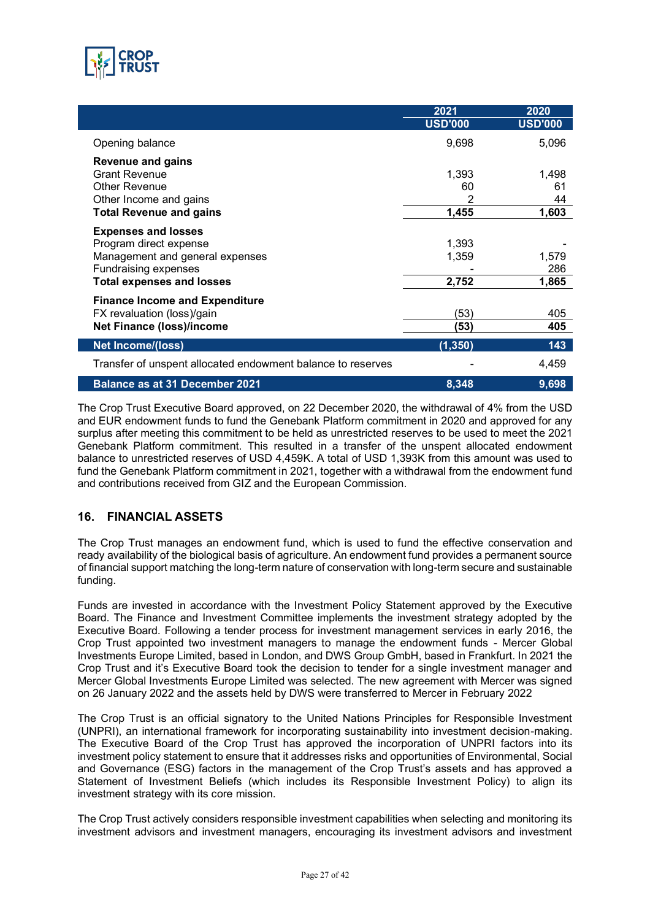

|                                                             | 2021           | 2020           |
|-------------------------------------------------------------|----------------|----------------|
|                                                             | <b>USD'000</b> | <b>USD'000</b> |
| Opening balance                                             | 9,698          | 5,096          |
| <b>Revenue and gains</b>                                    |                |                |
| <b>Grant Revenue</b>                                        | 1,393          | 1,498          |
| <b>Other Revenue</b>                                        | 60             | 61             |
| Other Income and gains                                      |                | 44             |
| <b>Total Revenue and gains</b>                              | 1,455          | 1,603          |
| <b>Expenses and losses</b>                                  |                |                |
| Program direct expense                                      | 1,393          |                |
| Management and general expenses                             | 1,359          | 1,579          |
| Fundraising expenses                                        |                | 286            |
| <b>Total expenses and losses</b>                            | 2,752          | 1,865          |
| <b>Finance Income and Expenditure</b>                       |                |                |
| FX revaluation (loss)/gain                                  | (53)           | 405            |
| <b>Net Finance (loss)/income</b>                            | (53)           | 405            |
| Net Income/(loss)                                           | (1, 350)       | 143            |
| Transfer of unspent allocated endowment balance to reserves |                | 4,459          |
| <b>Balance as at 31 December 2021</b>                       | 8,348          | 9,698          |

The Crop Trust Executive Board approved, on 22 December 2020, the withdrawal of 4% from the USD and EUR endowment funds to fund the Genebank Platform commitment in 2020 and approved for any surplus after meeting this commitment to be held as unrestricted reserves to be used to meet the 2021 Genebank Platform commitment. This resulted in a transfer of the unspent allocated endowment balance to unrestricted reserves of USD 4,459K. A total of USD 1,393K from this amount was used to fund the Genebank Platform commitment in 2021, together with a withdrawal from the endowment fund and contributions received from GIZ and the European Commission.

#### **16. FINANCIAL ASSETS**

The Crop Trust manages an endowment fund, which is used to fund the effective conservation and ready availability of the biological basis of agriculture. An endowment fund provides a permanent source of financial support matching the long-term nature of conservation with long-term secure and sustainable funding.

Funds are invested in accordance with the Investment Policy Statement approved by the Executive Board. The Finance and Investment Committee implements the investment strategy adopted by the Executive Board. Following a tender process for investment management services in early 2016, the Crop Trust appointed two investment managers to manage the endowment funds - Mercer Global Investments Europe Limited, based in London, and DWS Group GmbH, based in Frankfurt. In 2021 the Crop Trust and it's Executive Board took the decision to tender for a single investment manager and Mercer Global Investments Europe Limited was selected. The new agreement with Mercer was signed on 26 January 2022 and the assets held by DWS were transferred to Mercer in February 2022

The Crop Trust is an official signatory to the United Nations Principles for Responsible Investment (UNPRI), an international framework for incorporating sustainability into investment decision-making. The Executive Board of the Crop Trust has approved the incorporation of UNPRI factors into its investment policy statement to ensure that it addresses risks and opportunities of Environmental, Social and Governance (ESG) factors in the management of the Crop Trust's assets and has approved a Statement of Investment Beliefs (which includes its Responsible Investment Policy) to align its investment strategy with its core mission.

The Crop Trust actively considers responsible investment capabilities when selecting and monitoring its investment advisors and investment managers, encouraging its investment advisors and investment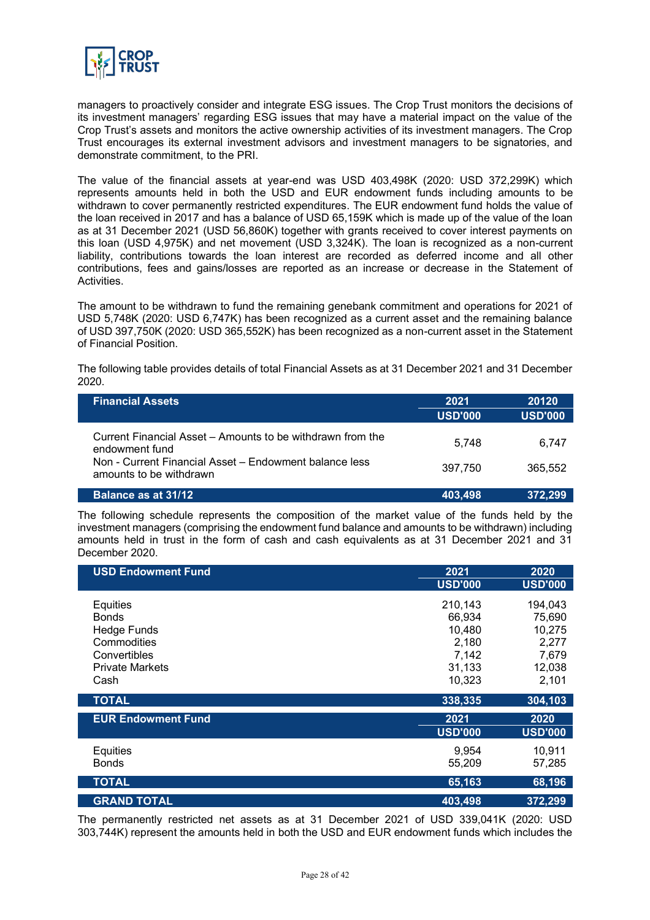

managers to proactively consider and integrate ESG issues. The Crop Trust monitors the decisions of its investment managers' regarding ESG issues that may have a material impact on the value of the Crop Trust's assets and monitors the active ownership activities of its investment managers. The Crop Trust encourages its external investment advisors and investment managers to be signatories, and demonstrate commitment, to the PRI.

The value of the financial assets at year-end was USD 403,498K (2020: USD 372,299K) which represents amounts held in both the USD and EUR endowment funds including amounts to be withdrawn to cover permanently restricted expenditures. The EUR endowment fund holds the value of the loan received in 2017 and has a balance of USD 65,159K which is made up of the value of the loan as at 31 December 2021 (USD 56,860K) together with grants received to cover interest payments on this loan (USD 4,975K) and net movement (USD 3,324K). The loan is recognized as a non-current liability, contributions towards the loan interest are recorded as deferred income and all other contributions, fees and gains/losses are reported as an increase or decrease in the Statement of Activities.

The amount to be withdrawn to fund the remaining genebank commitment and operations for 2021 of USD 5,748K (2020: USD 6,747K) has been recognized as a current asset and the remaining balance of USD 397,750K (2020: USD 365,552K) has been recognized as a non-current asset in the Statement of Financial Position.

The following table provides details of total Financial Assets as at 31 December 2021 and 31 December 2020.

| <b>Financial Assets</b>                                                                                                                                           | 2021             | 20120            |
|-------------------------------------------------------------------------------------------------------------------------------------------------------------------|------------------|------------------|
|                                                                                                                                                                   | <b>USD'000</b>   | <b>USD'000</b>   |
| Current Financial Asset – Amounts to be withdrawn from the<br>endowment fund<br>Non - Current Financial Asset - Endowment balance less<br>amounts to be withdrawn | 5.748<br>397.750 | 6.747<br>365.552 |
| <b>Balance as at 31/12</b>                                                                                                                                        | 403,498          | 372,299          |

The following schedule represents the composition of the market value of the funds held by the investment managers (comprising the endowment fund balance and amounts to be withdrawn) including amounts held in trust in the form of cash and cash equivalents as at 31 December 2021 and 31 December 2020.

| <b>USD Endowment Fund</b>          | 2021             | 2020             |
|------------------------------------|------------------|------------------|
|                                    | <b>USD'000</b>   | <b>USD'000</b>   |
| Equities                           | 210,143          | 194,043          |
| <b>Bonds</b><br><b>Hedge Funds</b> | 66,934<br>10,480 | 75,690<br>10,275 |
| Commodities<br>Convertibles        | 2,180<br>7,142   | 2,277<br>7,679   |
| <b>Private Markets</b>             | 31,133           | 12,038           |
| Cash                               | 10,323           | 2,101            |
| <b>TOTAL</b>                       | 338,335          | 304,103          |
| <b>EUR Endowment Fund</b>          | 2021             | 2020             |
|                                    | <b>USD'000</b>   | <b>USD'000</b>   |
| Equities<br><b>Bonds</b>           | 9,954<br>55,209  | 10,911<br>57,285 |
| <b>TOTAL</b>                       | 65,163           | 68,196           |
| <b>GRAND TOTAL</b>                 | 403,498          | 372,299          |

The permanently restricted net assets as at 31 December 2021 of USD 339,041K (2020: USD 303,744K) represent the amounts held in both the USD and EUR endowment funds which includes the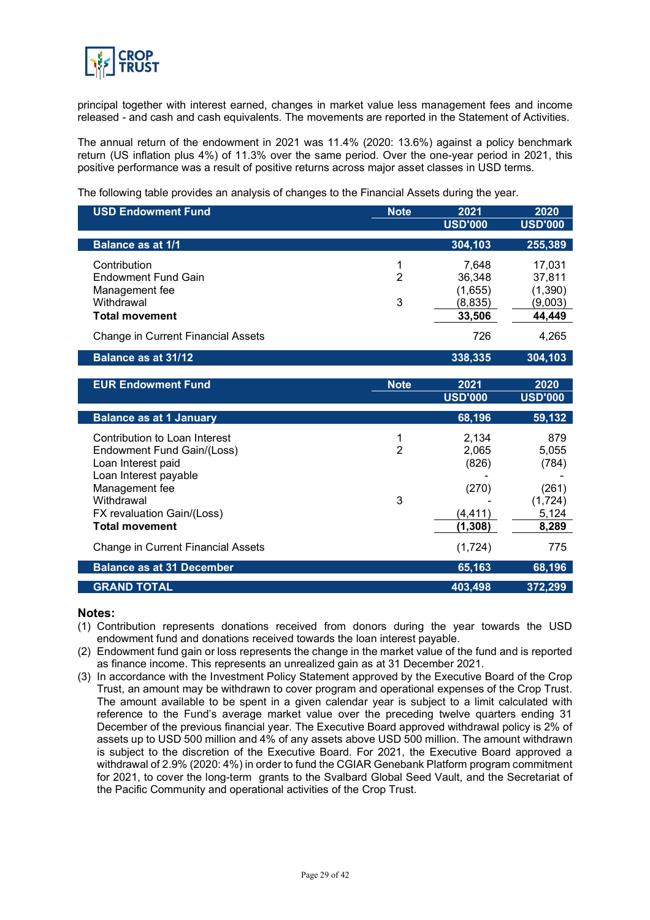

principal together with interest earned, changes in market value less management fees and income released - and cash and cash equivalents. The movements are reported in the Statement of Activities.

The annual return of the endowment in 2021 was 11.4% (2020: 13.6%) against a policy benchmark return (US inflation plus 4%) of 11.3% over the same period. Over the one-year period in 2021, this positive performance was a result of positive returns across major asset classes in USD terms.

The following table provides an analysis of changes to the Financial Assets during the year.

| <b>USD Endowment Fund</b>                 | <b>Note</b> | 2021           | 2020           |
|-------------------------------------------|-------------|----------------|----------------|
|                                           |             | <b>USD'000</b> | <b>USD'000</b> |
| <b>Balance as at 1/1</b>                  |             | 304,103        | 255,389        |
| Contribution                              |             | 7.648          | 17,031         |
| Endowment Fund Gain                       | 2           | 36.348         | 37,811         |
| Management fee                            |             | (1,655)        | (1,390)        |
| Withdrawal                                | 3           | (8,835)        | (9,003)        |
| <b>Total movement</b>                     |             | 33,506         | 44,449         |
| <b>Change in Current Financial Assets</b> |             | 726            | 4,265          |
| <b>Balance as at 31/12</b>                |             | 338,335        | 304,103        |

| <b>EUR Endowment Fund</b>                                                                                                                                                | <b>Note</b> | 2021<br><b>USD'000</b>                       | 2020<br><b>USD'000</b>                             |
|--------------------------------------------------------------------------------------------------------------------------------------------------------------------------|-------------|----------------------------------------------|----------------------------------------------------|
|                                                                                                                                                                          |             |                                              |                                                    |
| <b>Balance as at 1 January</b>                                                                                                                                           |             | 68,196                                       | 59,132                                             |
| Contribution to Loan Interest<br>Endowment Fund Gain/(Loss)<br>Loan Interest paid<br>Loan Interest payable<br>Management fee<br>Withdrawal<br>FX revaluation Gain/(Loss) | 1<br>2<br>3 | 2.134<br>2,065<br>(826)<br>(270)<br>(4, 411) | 879<br>5,055<br>(784)<br>(261)<br>(1,724)<br>5,124 |
| <b>Total movement</b>                                                                                                                                                    |             | (1, 308)                                     | 8,289                                              |
| <b>Change in Current Financial Assets</b>                                                                                                                                |             | (1,724)                                      | 775                                                |
| <b>Balance as at 31 December</b>                                                                                                                                         |             | 65,163                                       | 68,196                                             |
| <b>GRAND TOTAL</b>                                                                                                                                                       |             | 403.498                                      | 372,299                                            |

#### **Notes:**

L

- (1) Contribution represents donations received from donors during the year towards the USD endowment fund and donations received towards the loan interest payable.
- (2) Endowment fund gain or loss represents the change in the market value of the fund and is reported as finance income. This represents an unrealized gain as at 31 December 2021.
- (3) In accordance with the Investment Policy Statement approved by the Executive Board of the Crop Trust, an amount may be withdrawn to cover program and operational expenses of the Crop Trust. The amount available to be spent in a given calendar year is subject to a limit calculated with reference to the Fund's average market value over the preceding twelve quarters ending 31 December of the previous financial year. The Executive Board approved withdrawal policy is 2% of assets up to USD 500 million and 4% of any assets above USD 500 million. The amount withdrawn is subject to the discretion of the Executive Board. For 2021, the Executive Board approved a withdrawal of 2.9% (2020: 4%) in order to fund the CGIAR Genebank Platform program commitment for 2021, to cover the long-term grants to the Svalbard Global Seed Vault, and the Secretariat of the Pacific Community and operational activities of the Crop Trust.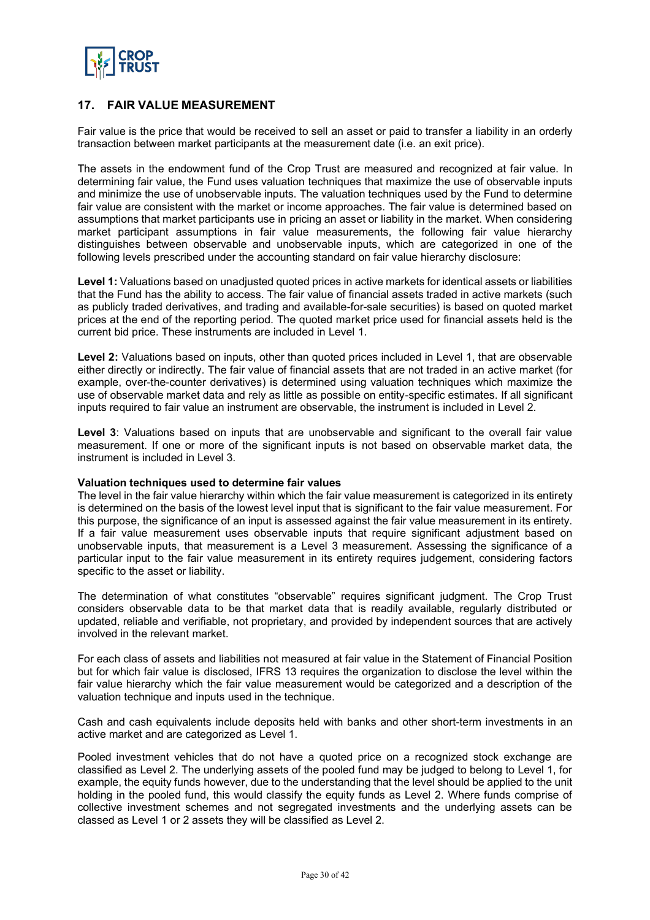

#### **17. FAIR VALUE MEASUREMENT**

Fair value is the price that would be received to sell an asset or paid to transfer a liability in an orderly transaction between market participants at the measurement date (i.e. an exit price).

The assets in the endowment fund of the Crop Trust are measured and recognized at fair value. In determining fair value, the Fund uses valuation techniques that maximize the use of observable inputs and minimize the use of unobservable inputs. The valuation techniques used by the Fund to determine fair value are consistent with the market or income approaches. The fair value is determined based on assumptions that market participants use in pricing an asset or liability in the market. When considering market participant assumptions in fair value measurements, the following fair value hierarchy distinguishes between observable and unobservable inputs, which are categorized in one of the following levels prescribed under the accounting standard on fair value hierarchy disclosure:

**Level 1:** Valuations based on unadjusted quoted prices in active markets for identical assets or liabilities that the Fund has the ability to access. The fair value of financial assets traded in active markets (such as publicly traded derivatives, and trading and available-for-sale securities) is based on quoted market prices at the end of the reporting period. The quoted market price used for financial assets held is the current bid price. These instruments are included in Level 1.

**Level 2:** Valuations based on inputs, other than quoted prices included in Level 1, that are observable either directly or indirectly. The fair value of financial assets that are not traded in an active market (for example, over-the-counter derivatives) is determined using valuation techniques which maximize the use of observable market data and rely as little as possible on entity-specific estimates. If all significant inputs required to fair value an instrument are observable, the instrument is included in Level 2.

**Level 3**: Valuations based on inputs that are unobservable and significant to the overall fair value measurement. If one or more of the significant inputs is not based on observable market data, the instrument is included in Level 3.

#### **Valuation techniques used to determine fair values**

The level in the fair value hierarchy within which the fair value measurement is categorized in its entirety is determined on the basis of the lowest level input that is significant to the fair value measurement. For this purpose, the significance of an input is assessed against the fair value measurement in its entirety. If a fair value measurement uses observable inputs that require significant adjustment based on unobservable inputs, that measurement is a Level 3 measurement. Assessing the significance of a particular input to the fair value measurement in its entirety requires judgement, considering factors specific to the asset or liability.

The determination of what constitutes "observable" requires significant judgment. The Crop Trust considers observable data to be that market data that is readily available, regularly distributed or updated, reliable and verifiable, not proprietary, and provided by independent sources that are actively involved in the relevant market.

For each class of assets and liabilities not measured at fair value in the Statement of Financial Position but for which fair value is disclosed, IFRS 13 requires the organization to disclose the level within the fair value hierarchy which the fair value measurement would be categorized and a description of the valuation technique and inputs used in the technique.

Cash and cash equivalents include deposits held with banks and other short-term investments in an active market and are categorized as Level 1.

Pooled investment vehicles that do not have a quoted price on a recognized stock exchange are classified as Level 2. The underlying assets of the pooled fund may be judged to belong to Level 1, for example, the equity funds however, due to the understanding that the level should be applied to the unit holding in the pooled fund, this would classify the equity funds as Level 2. Where funds comprise of collective investment schemes and not segregated investments and the underlying assets can be classed as Level 1 or 2 assets they will be classified as Level 2.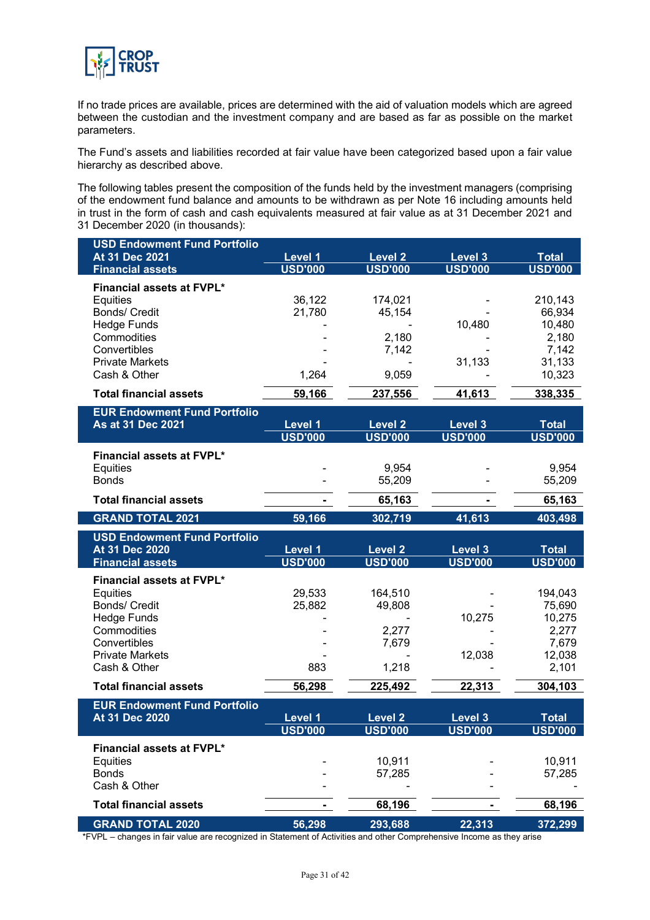

If no trade prices are available, prices are determined with the aid of valuation models which are agreed between the custodian and the investment company and are based as far as possible on the market parameters.

The Fund's assets and liabilities recorded at fair value have been categorized based upon a fair value hierarchy as described above.

The following tables present the composition of the funds held by the investment managers (comprising of the endowment fund balance and amounts to be withdrawn as per Note 16 including amounts held in trust in the form of cash and cash equivalents measured at fair value as at 31 December 2021 and 31 December 2020 (in thousands):

| <b>USD Endowment Fund Portfolio</b><br>At 31 Dec 2021                                                                                                                            | Level <sub>1</sub>                        | Level <sub>2</sub>                                             | Level 3                            | <b>Total</b>                                                                       |
|----------------------------------------------------------------------------------------------------------------------------------------------------------------------------------|-------------------------------------------|----------------------------------------------------------------|------------------------------------|------------------------------------------------------------------------------------|
| <b>Financial assets</b>                                                                                                                                                          | <b>USD'000</b>                            | <b>USD'000</b>                                                 | <b>USD'000</b>                     | <b>USD'000</b>                                                                     |
| Financial assets at FVPL*<br>Equities<br>Bonds/ Credit<br><b>Hedge Funds</b><br>Commodities<br>Convertibles<br><b>Private Markets</b><br>Cash & Other                            | 36,122<br>21,780<br>1,264                 | 174,021<br>45,154<br>2,180<br>7,142<br>9,059                   | 10,480<br>31,133                   | 210,143<br>66,934<br>10,480<br>2,180<br>7,142<br>31,133<br>10,323                  |
| <b>Total financial assets</b>                                                                                                                                                    | 59,166                                    | 237,556                                                        | 41,613                             | 338,335                                                                            |
| <b>EUR Endowment Fund Portfolio</b><br>As at 31 Dec 2021                                                                                                                         | Level 1<br><b>USD'000</b>                 | Level <sub>2</sub><br><b>USD'000</b>                           | Level 3<br><b>USD'000</b>          | <b>Total</b><br><b>USD'000</b>                                                     |
| Financial assets at FVPL*<br>Equities<br><b>Bonds</b><br><b>Total financial assets</b>                                                                                           |                                           | 9,954<br>55,209<br>65,163                                      |                                    | 9,954<br>55,209<br>65,163                                                          |
| <b>GRAND TOTAL 2021</b>                                                                                                                                                          | 59,166                                    | 302,719                                                        | 41,613                             | 403,498                                                                            |
| <b>USD Endowment Fund Portfolio</b>                                                                                                                                              |                                           |                                                                |                                    |                                                                                    |
| At 31 Dec 2020                                                                                                                                                                   | Level 1                                   |                                                                |                                    |                                                                                    |
|                                                                                                                                                                                  |                                           | Level <sub>2</sub>                                             | Level 3                            | <b>Total</b>                                                                       |
| <b>Financial assets</b><br>Financial assets at FVPL*<br>Equities<br>Bonds/ Credit<br><b>Hedge Funds</b><br>Commodities<br>Convertibles<br><b>Private Markets</b><br>Cash & Other | <b>USD'000</b><br>29,533<br>25,882<br>883 | <b>USD'000</b><br>164,510<br>49,808<br>2,277<br>7,679<br>1,218 | <b>USD'000</b><br>10,275<br>12,038 | <b>USD'000</b><br>194,043<br>75,690<br>10,275<br>2,277<br>7,679<br>12,038<br>2,101 |
| <b>Total financial assets</b>                                                                                                                                                    | 56,298                                    | 225,492                                                        | 22,313                             | 304,103                                                                            |
| <b>EUR Endowment Fund Portfolio</b><br>At 31 Dec 2020                                                                                                                            | Level 1<br><b>USD'000</b>                 | <b>Level 2</b><br><b>USD'000</b>                               | Level 3<br><b>USD'000</b>          | <b>Total</b><br><b>USD'000</b>                                                     |
| Financial assets at FVPL*<br>Equities<br><b>Bonds</b><br>Cash & Other                                                                                                            |                                           | 10,911<br>57,285                                               |                                    | 10,911<br>57,285                                                                   |
| <b>Total financial assets</b>                                                                                                                                                    |                                           | 68,196                                                         |                                    | 68,196                                                                             |

\*FVPL – changes in fair value are recognized in Statement of Activities and other Comprehensive Income as they arise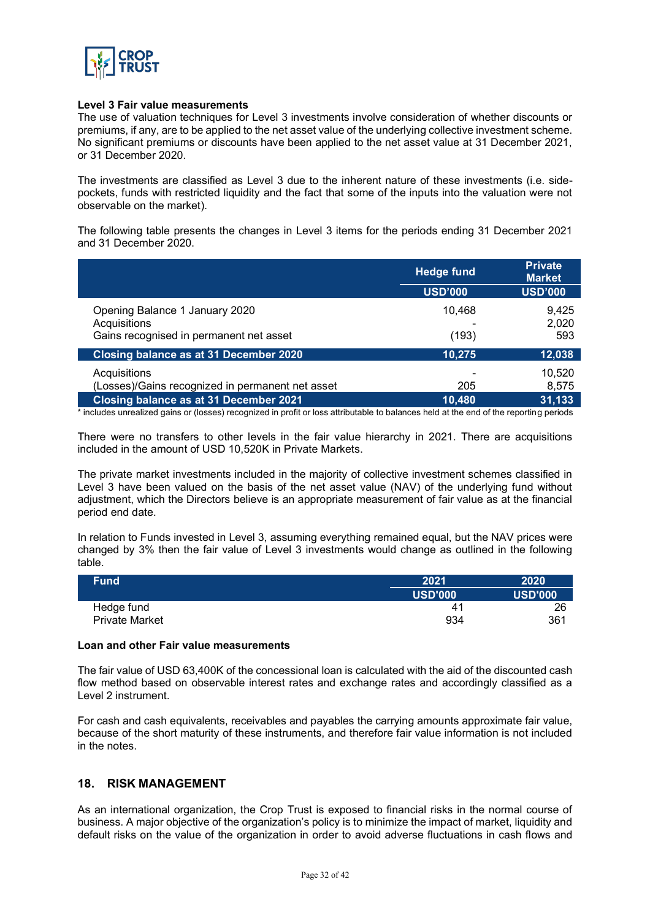

#### **Level 3 Fair value measurements**

The use of valuation techniques for Level 3 investments involve consideration of whether discounts or premiums, if any, are to be applied to the net asset value of the underlying collective investment scheme. No significant premiums or discounts have been applied to the net asset value at 31 December 2021, or 31 December 2020.

The investments are classified as Level 3 due to the inherent nature of these investments (i.e. sidepockets, funds with restricted liquidity and the fact that some of the inputs into the valuation were not observable on the market).

The following table presents the changes in Level 3 items for the periods ending 31 December 2021 and 31 December 2020.

|                                                                                           | <b>Hedge fund</b> | <b>Private</b><br><b>Market</b> |
|-------------------------------------------------------------------------------------------|-------------------|---------------------------------|
|                                                                                           | <b>USD'000</b>    | <b>USD'000</b>                  |
| Opening Balance 1 January 2020<br>Acquisitions<br>Gains recognised in permanent net asset | 10.468<br>(193)   | 9.425<br>2,020<br>593           |
| Closing balance as at 31 December 2020                                                    | 10.275            | 12,038                          |
| Acquisitions<br>(Losses)/Gains recognized in permanent net asset                          | 205               | 10.520<br>8,575                 |
| Closing balance as at 31 December 2021                                                    | 10,480            | 31,133                          |

\* includes unrealized gains or (losses) recognized in profit or loss attributable to balances held at the end of the reporting periods

There were no transfers to other levels in the fair value hierarchy in 2021. There are acquisitions included in the amount of USD 10,520K in Private Markets.

The private market investments included in the majority of collective investment schemes classified in Level 3 have been valued on the basis of the net asset value (NAV) of the underlying fund without adjustment, which the Directors believe is an appropriate measurement of fair value as at the financial period end date.

In relation to Funds invested in Level 3, assuming everything remained equal, but the NAV prices were changed by 3% then the fair value of Level 3 investments would change as outlined in the following table.

| <b>Fund</b>           | 2021           | 2020           |
|-----------------------|----------------|----------------|
|                       | <b>USD'000</b> | <b>USD'000</b> |
| Hedge fund            | 4 <sup>1</sup> | 26             |
| <b>Private Market</b> | 934            | 361            |

#### **Loan and other Fair value measurements**

The fair value of USD 63,400K of the concessional loan is calculated with the aid of the discounted cash flow method based on observable interest rates and exchange rates and accordingly classified as a Level 2 instrument.

For cash and cash equivalents, receivables and payables the carrying amounts approximate fair value, because of the short maturity of these instruments, and therefore fair value information is not included in the notes.

#### **18. RISK MANAGEMENT**

As an international organization, the Crop Trust is exposed to financial risks in the normal course of business. A major objective of the organization's policy is to minimize the impact of market, liquidity and default risks on the value of the organization in order to avoid adverse fluctuations in cash flows and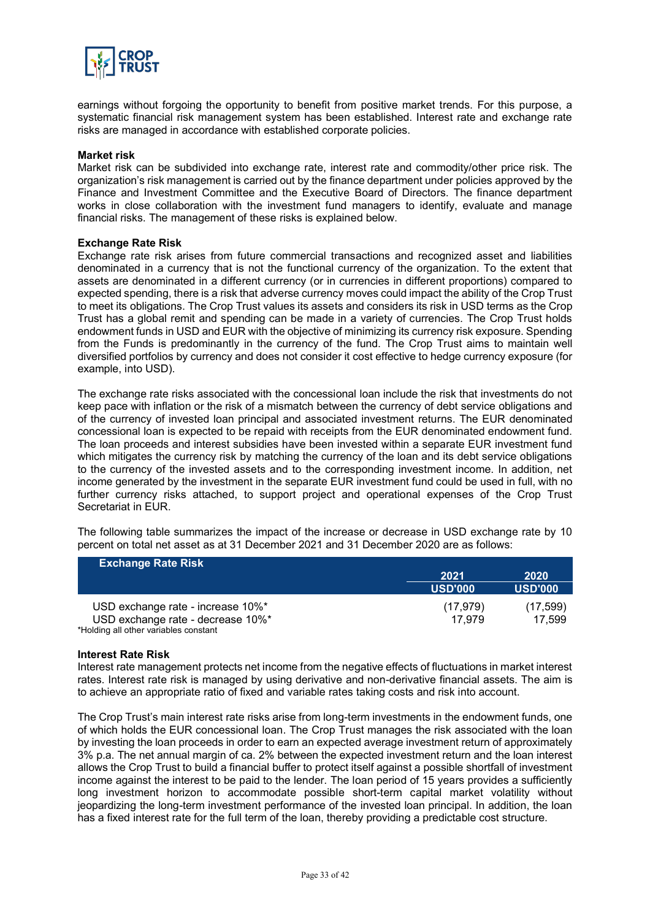

earnings without forgoing the opportunity to benefit from positive market trends. For this purpose, a systematic financial risk management system has been established. Interest rate and exchange rate risks are managed in accordance with established corporate policies.

#### **Market risk**

Market risk can be subdivided into exchange rate, interest rate and commodity/other price risk. The organization's risk management is carried out by the finance department under policies approved by the Finance and Investment Committee and the Executive Board of Directors. The finance department works in close collaboration with the investment fund managers to identify, evaluate and manage financial risks. The management of these risks is explained below.

#### **Exchange Rate Risk**

Exchange rate risk arises from future commercial transactions and recognized asset and liabilities denominated in a currency that is not the functional currency of the organization. To the extent that assets are denominated in a different currency (or in currencies in different proportions) compared to expected spending, there is a risk that adverse currency moves could impact the ability of the Crop Trust to meet its obligations. The Crop Trust values its assets and considers its risk in USD terms as the Crop Trust has a global remit and spending can be made in a variety of currencies. The Crop Trust holds endowment funds in USD and EUR with the objective of minimizing its currency risk exposure. Spending from the Funds is predominantly in the currency of the fund. The Crop Trust aims to maintain well diversified portfolios by currency and does not consider it cost effective to hedge currency exposure (for example, into USD).

The exchange rate risks associated with the concessional loan include the risk that investments do not keep pace with inflation or the risk of a mismatch between the currency of debt service obligations and of the currency of invested loan principal and associated investment returns. The EUR denominated concessional loan is expected to be repaid with receipts from the EUR denominated endowment fund. The loan proceeds and interest subsidies have been invested within a separate EUR investment fund which mitigates the currency risk by matching the currency of the loan and its debt service obligations to the currency of the invested assets and to the corresponding investment income. In addition, net income generated by the investment in the separate EUR investment fund could be used in full, with no further currency risks attached, to support project and operational expenses of the Crop Trust Secretariat in EUR.

The following table summarizes the impact of the increase or decrease in USD exchange rate by 10 percent on total net asset as at 31 December 2021 and 31 December 2020 are as follows:

| <b>Exchange Rate Risk</b>             |                |          |
|---------------------------------------|----------------|----------|
|                                       | 2021           | 2020     |
|                                       | <b>USD'000</b> | USD'000  |
| USD exchange rate - increase 10%*     | (17.979)       | (17,599) |
| USD exchange rate - decrease 10%*     | 17.979         | 17.599   |
| *Holding all other variables constant |                |          |

#### **Interest Rate Risk**

Interest rate management protects net income from the negative effects of fluctuations in market interest rates. Interest rate risk is managed by using derivative and non-derivative financial assets. The aim is to achieve an appropriate ratio of fixed and variable rates taking costs and risk into account.

The Crop Trust's main interest rate risks arise from long-term investments in the endowment funds, one of which holds the EUR concessional loan. The Crop Trust manages the risk associated with the loan by investing the loan proceeds in order to earn an expected average investment return of approximately 3% p.a. The net annual margin of ca. 2% between the expected investment return and the loan interest allows the Crop Trust to build a financial buffer to protect itself against a possible shortfall of investment income against the interest to be paid to the lender. The loan period of 15 years provides a sufficiently long investment horizon to accommodate possible short-term capital market volatility without jeopardizing the long-term investment performance of the invested loan principal. In addition, the loan has a fixed interest rate for the full term of the loan, thereby providing a predictable cost structure.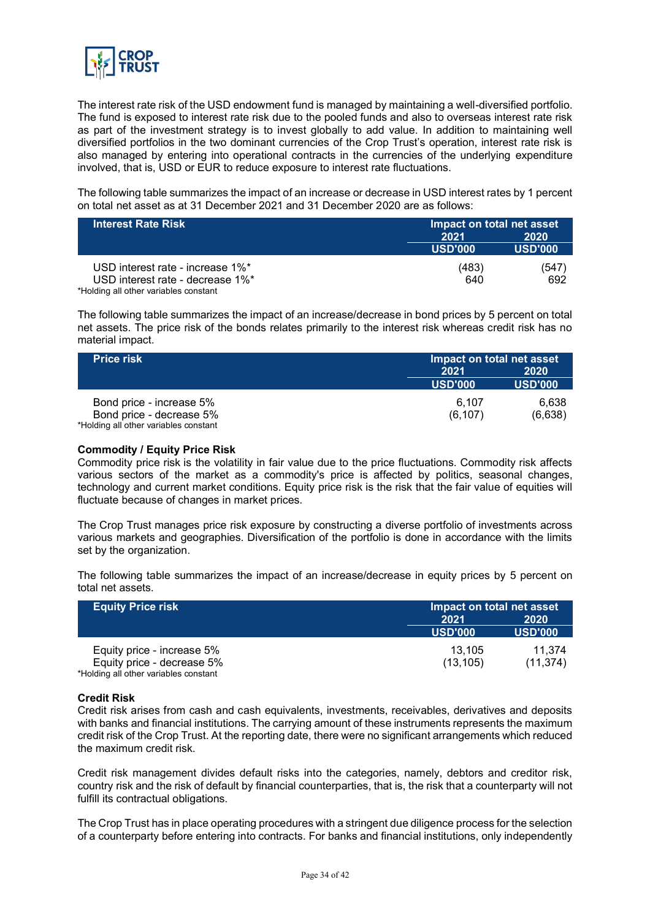

The interest rate risk of the USD endowment fund is managed by maintaining a well-diversified portfolio. The fund is exposed to interest rate risk due to the pooled funds and also to overseas interest rate risk as part of the investment strategy is to invest globally to add value. In addition to maintaining well diversified portfolios in the two dominant currencies of the Crop Trust's operation, interest rate risk is also managed by entering into operational contracts in the currencies of the underlying expenditure involved, that is, USD or EUR to reduce exposure to interest rate fluctuations.

The following table summarizes the impact of an increase or decrease in USD interest rates by 1 percent on total net asset as at 31 December 2021 and 31 December 2020 are as follows:

| <b>Interest Rate Risk</b>             | Impact on total net asset |         |  |
|---------------------------------------|---------------------------|---------|--|
|                                       | 2021                      | 2020    |  |
|                                       | USD'000                   | USD'000 |  |
| USD interest rate - increase 1%*      | (483)                     | (547)   |  |
| USD interest rate - decrease 1%*      | 640                       | 692     |  |
| *Holding all other variables constant |                           |         |  |

The following table summarizes the impact of an increase/decrease in bond prices by 5 percent on total net assets. The price risk of the bonds relates primarily to the interest risk whereas credit risk has no material impact.

| <b>Price risk</b>                                                 | Impact on total net asset |                |  |
|-------------------------------------------------------------------|---------------------------|----------------|--|
|                                                                   | 2021                      | 2020           |  |
|                                                                   | <b>USD'000</b>            | <b>USD'000</b> |  |
| Bond price - increase 5%                                          | 6.107                     | 6.638          |  |
| Bond price - decrease 5%<br>*Holding all other variables constant | (6, 107)                  | (6,638)        |  |

#### **Commodity / Equity Price Risk**

[Commodity price risk](https://www.investopedia.com/terms/c/commodity-price-risk.asp) is the volatility in fair value due to the price fluctuations. Commodity risk affects various sectors of the market as a commodity's price is affected by politics, seasonal changes, technology and current market conditions. Equity price risk is the risk that the fair value of equities will fluctuate because of changes in market prices.

The Crop Trust manages price risk exposure by constructing a diverse portfolio of investments across various markets and geographies. Diversification of the portfolio is done in accordance with the limits set by the organization.

The following table summarizes the impact of an increase/decrease in equity prices by 5 percent on total net assets.

| <b>Equity Price risk</b>                                                                          | Impact on total net asset |                     |  |
|---------------------------------------------------------------------------------------------------|---------------------------|---------------------|--|
|                                                                                                   | 2021                      | 2020                |  |
|                                                                                                   | <b>USD'000</b>            | USD'000             |  |
| Equity price - increase 5%<br>Equity price - decrease 5%<br>*Holding all other variables constant | 13.105<br>(13, 105)       | 11.374<br>(11, 374) |  |

#### **Credit Risk**

Credit risk arises from cash and cash equivalents, investments, receivables, derivatives and deposits with banks and financial institutions. The carrying amount of these instruments represents the maximum credit risk of the Crop Trust. At the reporting date, there were no significant arrangements which reduced the maximum credit risk.

Credit risk management divides default risks into the categories, namely, debtors and creditor risk, country risk and the risk of default by financial counterparties, that is, the risk that a counterparty will not fulfill its contractual obligations.

The Crop Trust has in place operating procedures with a stringent due diligence process for the selection of a counterparty before entering into contracts. For banks and financial institutions, only independently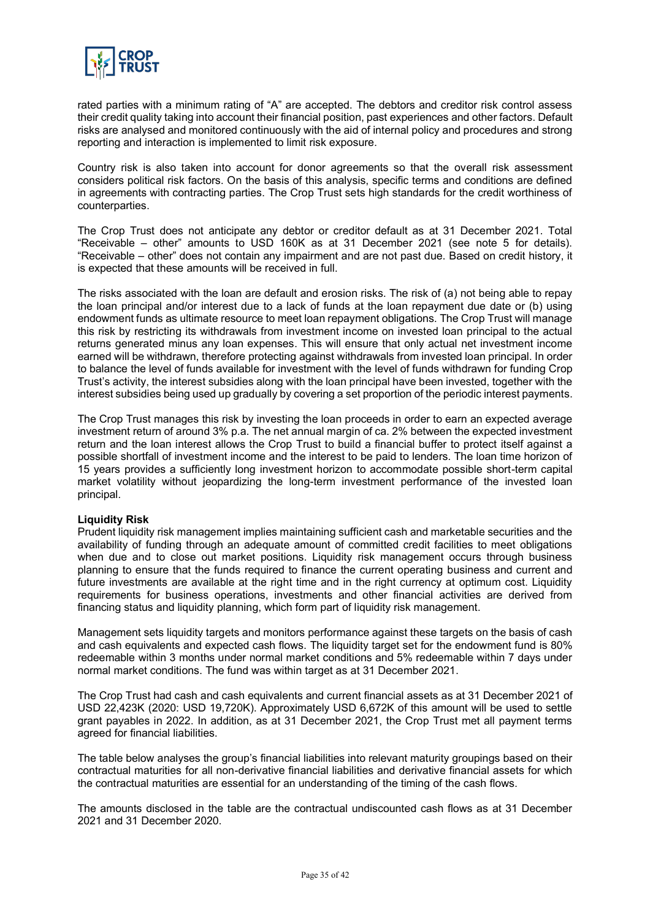

rated parties with a minimum rating of "A" are accepted. The debtors and creditor risk control assess their credit quality taking into account their financial position, past experiences and other factors. Default risks are analysed and monitored continuously with the aid of internal policy and procedures and strong reporting and interaction is implemented to limit risk exposure.

Country risk is also taken into account for donor agreements so that the overall risk assessment considers political risk factors. On the basis of this analysis, specific terms and conditions are defined in agreements with contracting parties. The Crop Trust sets high standards for the credit worthiness of counterparties.

The Crop Trust does not anticipate any debtor or creditor default as at 31 December 2021. Total "Receivable – other" amounts to USD 160K as at 31 December 2021 (see note 5 for details). "Receivable – other" does not contain any impairment and are not past due. Based on credit history, it is expected that these amounts will be received in full.

The risks associated with the loan are default and erosion risks. The risk of (a) not being able to repay the loan principal and/or interest due to a lack of funds at the loan repayment due date or (b) using endowment funds as ultimate resource to meet loan repayment obligations. The Crop Trust will manage this risk by restricting its withdrawals from investment income on invested loan principal to the actual returns generated minus any loan expenses. This will ensure that only actual net investment income earned will be withdrawn, therefore protecting against withdrawals from invested loan principal. In order to balance the level of funds available for investment with the level of funds withdrawn for funding Crop Trust's activity, the interest subsidies along with the loan principal have been invested, together with the interest subsidies being used up gradually by covering a set proportion of the periodic interest payments.

The Crop Trust manages this risk by investing the loan proceeds in order to earn an expected average investment return of around 3% p.a. The net annual margin of ca. 2% between the expected investment return and the loan interest allows the Crop Trust to build a financial buffer to protect itself against a possible shortfall of investment income and the interest to be paid to lenders. The loan time horizon of 15 years provides a sufficiently long investment horizon to accommodate possible short-term capital market volatility without jeopardizing the long-term investment performance of the invested loan principal.

#### **Liquidity Risk**

Prudent liquidity risk management implies maintaining sufficient cash and marketable securities and the availability of funding through an adequate amount of committed credit facilities to meet obligations when due and to close out market positions. Liquidity risk management occurs through business planning to ensure that the funds required to finance the current operating business and current and future investments are available at the right time and in the right currency at optimum cost. Liquidity requirements for business operations, investments and other financial activities are derived from financing status and liquidity planning, which form part of liquidity risk management.

Management sets liquidity targets and monitors performance against these targets on the basis of cash and cash equivalents and expected cash flows. The liquidity target set for the endowment fund is 80% redeemable within 3 months under normal market conditions and 5% redeemable within 7 days under normal market conditions. The fund was within target as at 31 December 2021.

The Crop Trust had cash and cash equivalents and current financial assets as at 31 December 2021 of USD 22,423K (2020: USD 19,720K). Approximately USD 6,672K of this amount will be used to settle grant payables in 2022. In addition, as at 31 December 2021, the Crop Trust met all payment terms agreed for financial liabilities.

The table below analyses the group's financial liabilities into relevant maturity groupings based on their contractual maturities for all non-derivative financial liabilities and derivative financial assets for which the contractual maturities are essential for an understanding of the timing of the cash flows.

The amounts disclosed in the table are the contractual undiscounted cash flows as at 31 December 2021 and 31 December 2020.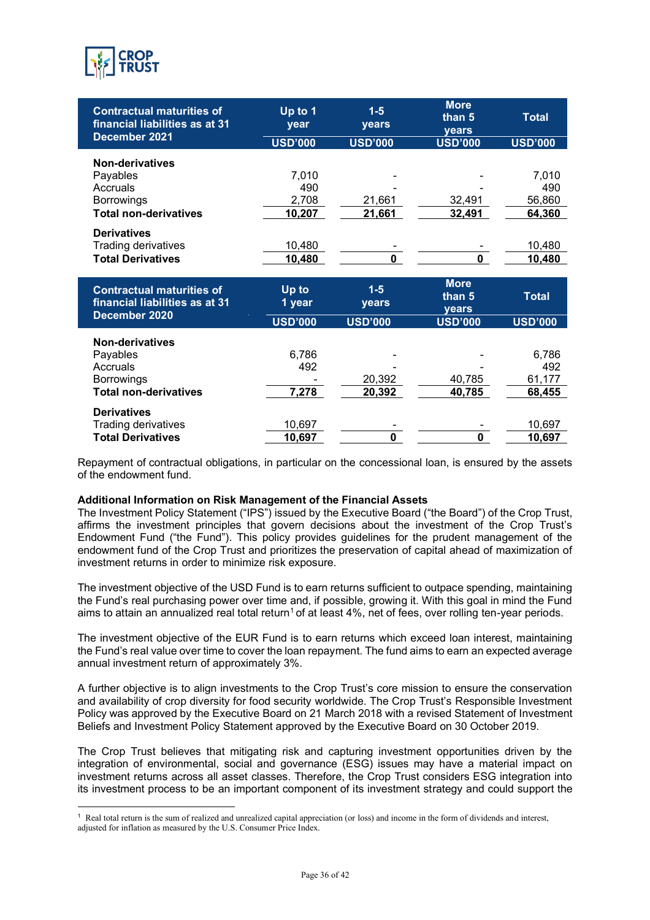

| <b>Contractual maturities of</b><br>financial liabilities as at 31 | Up to 1<br>year | $1-5$<br>years        | <b>More</b><br>than 5<br>years | <b>Total</b>   |
|--------------------------------------------------------------------|-----------------|-----------------------|--------------------------------|----------------|
| December 2021                                                      | <b>USD'000</b>  | <b>USD'000</b>        | <b>USD'000</b>                 | <b>USD'000</b> |
| Non-derivatives                                                    |                 |                       |                                |                |
| Payables                                                           | 7,010           |                       |                                | 7,010          |
| Accruals                                                           | 490             |                       |                                | 490            |
| <b>Borrowings</b>                                                  | 2,708           | 21,661                | 32,491                         | 56,860         |
| <b>Total non-derivatives</b>                                       | 10,207          | 21,661                | 32,491                         | 64,360         |
| <b>Derivatives</b>                                                 |                 |                       |                                |                |
| Trading derivatives                                                | 10,480          |                       |                                | 10,480         |
| <b>Total Derivatives</b>                                           | 10,480          | $\mathbf{0}$          | 0                              | 10,480         |
|                                                                    |                 |                       |                                |                |
|                                                                    |                 |                       |                                |                |
|                                                                    |                 |                       | <b>More</b>                    |                |
| <b>Contractual maturities of</b><br>financial liabilities as at 31 | Up to<br>1 year | $1-5$<br><b>vears</b> | than 5<br>years                | <b>Total</b>   |
| December 2020                                                      | <b>USD'000</b>  | <b>USD'000</b>        | <b>USD'000</b>                 | <b>USD'000</b> |
| Non-derivatives                                                    |                 |                       |                                |                |
| Payables                                                           | 6,786           |                       |                                | 6,786          |
| Accruals                                                           | 492             |                       |                                | 492            |
| <b>Borrowings</b>                                                  |                 | 20,392                | 40,785                         | 61,177         |
| <b>Total non-derivatives</b>                                       | 7,278           | 20,392                | 40,785                         | 68,455         |
| <b>Derivatives</b>                                                 |                 |                       |                                |                |
| Trading derivatives                                                | 10,697          |                       |                                | 10,697         |

Repayment of contractual obligations, in particular on the concessional loan, is ensured by the assets of the endowment fund.

#### **Additional Information on Risk Management of the Financial Assets**

The Investment Policy Statement ("IPS") issued by the Executive Board ("the Board") of the Crop Trust, affirms the investment principles that govern decisions about the investment of the Crop Trust's Endowment Fund ("the Fund"). This policy provides guidelines for the prudent management of the endowment fund of the Crop Trust and prioritizes the preservation of capital ahead of maximization of investment returns in order to minimize risk exposure.

The investment objective of the USD Fund is to earn returns sufficient to outpace spending, maintaining the Fund's real purchasing power over time and, if possible, growing it. With this goal in mind the Fund aims to attain an annualized real total return<sup>1</sup> of at least 4%, net of fees, over rolling ten-year periods.

The investment objective of the EUR Fund is to earn returns which exceed loan interest, maintaining the Fund's real value over time to cover the loan repayment. The fund aims to earn an expected average annual investment return of approximately 3%.

A further objective is to align investments to the Crop Trust's core mission to ensure the conservation and availability of crop diversity for food security worldwide. The Crop Trust's Responsible Investment Policy was approved by the Executive Board on 21 March 2018 with a revised Statement of Investment Beliefs and Investment Policy Statement approved by the Executive Board on 30 October 2019.

The Crop Trust believes that mitigating risk and capturing investment opportunities driven by the integration of environmental, social and governance (ESG) issues may have a material impact on investment returns across all asset classes. Therefore, the Crop Trust considers ESG integration into its investment process to be an important component of its investment strategy and could support the

<sup>&</sup>lt;sup>1</sup> Real total return is the sum of realized and unrealized capital appreciation (or loss) and income in the form of dividends and interest, adjusted for inflation as measured by the U.S. Consumer Price Index.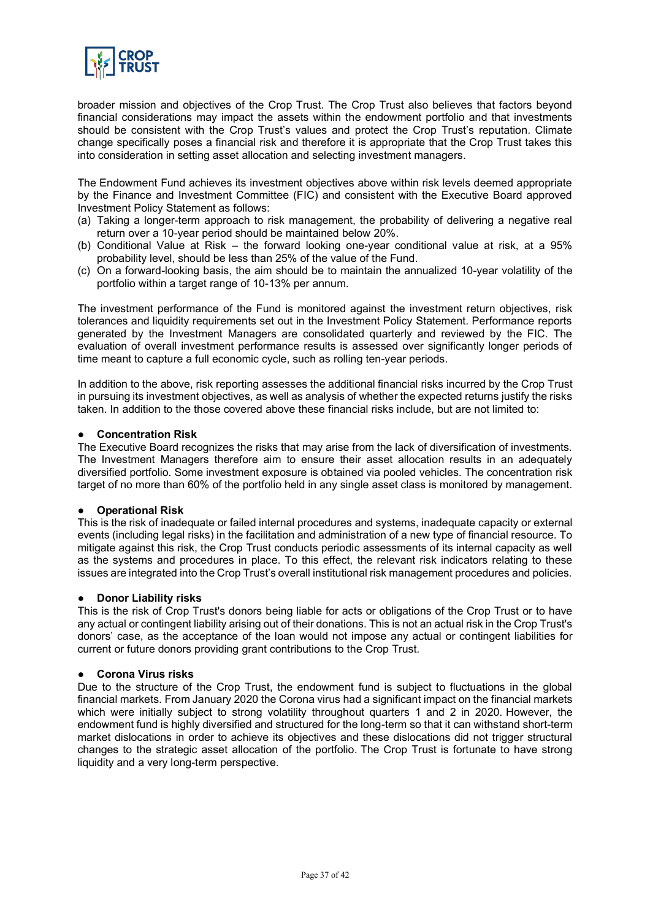

broader mission and objectives of the Crop Trust. The Crop Trust also believes that factors beyond financial considerations may impact the assets within the endowment portfolio and that investments should be consistent with the Crop Trust's values and protect the Crop Trust's reputation. Climate change specifically poses a financial risk and therefore it is appropriate that the Crop Trust takes this into consideration in setting asset allocation and selecting investment managers.

The Endowment Fund achieves its investment objectives above within risk levels deemed appropriate by the Finance and Investment Committee (FIC) and consistent with the Executive Board approved Investment Policy Statement as follows:

- (a) Taking a longer-term approach to risk management, the probability of delivering a negative real return over a 10-year period should be maintained below 20%.
- (b) Conditional Value at Risk the forward looking one-year conditional value at risk, at a 95% probability level, should be less than 25% of the value of the Fund.
- (c) On a forward-looking basis, the aim should be to maintain the annualized 10-year volatility of the portfolio within a target range of 10-13% per annum.

The investment performance of the Fund is monitored against the investment return objectives, risk tolerances and liquidity requirements set out in the Investment Policy Statement. Performance reports generated by the Investment Managers are consolidated quarterly and reviewed by the FIC. The evaluation of overall investment performance results is assessed over significantly longer periods of time meant to capture a full economic cycle, such as rolling ten-year periods.

In addition to the above, risk reporting assesses the additional financial risks incurred by the Crop Trust in pursuing its investment objectives, as well as analysis of whether the expected returns justify the risks taken. In addition to the those covered above these financial risks include, but are not limited to:

#### ● **Concentration Risk**

The Executive Board recognizes the risks that may arise from the lack of diversification of investments. The Investment Managers therefore aim to ensure their asset allocation results in an adequately diversified portfolio. Some investment exposure is obtained via pooled vehicles. The concentration risk target of no more than 60% of the portfolio held in any single asset class is monitored by management.

#### ● **Operational Risk**

This is the risk of inadequate or failed internal procedures and systems, inadequate capacity or external events (including legal risks) in the facilitation and administration of a new type of financial resource. To mitigate against this risk, the Crop Trust conducts periodic assessments of its internal capacity as well as the systems and procedures in place. To this effect, the relevant risk indicators relating to these issues are integrated into the Crop Trust's overall institutional risk management procedures and policies.

#### **Donor Liability risks**

This is the risk of Crop Trust's donors being liable for acts or obligations of the Crop Trust or to have any actual or contingent liability arising out of their donations. This is not an actual risk in the Crop Trust's donors' case, as the acceptance of the loan would not impose any actual or contingent liabilities for current or future donors providing grant contributions to the Crop Trust.

#### ● **Corona Virus risks**

Due to the structure of the Crop Trust, the endowment fund is subject to fluctuations in the global financial markets. From January 2020 the Corona virus had a significant impact on the financial markets which were initially subject to strong volatility throughout quarters 1 and 2 in 2020. However, the endowment fund is highly diversified and structured for the long-term so that it can withstand short-term market dislocations in order to achieve its objectives and these dislocations did not trigger structural changes to the strategic asset allocation of the portfolio. The Crop Trust is fortunate to have strong liquidity and a very long-term perspective.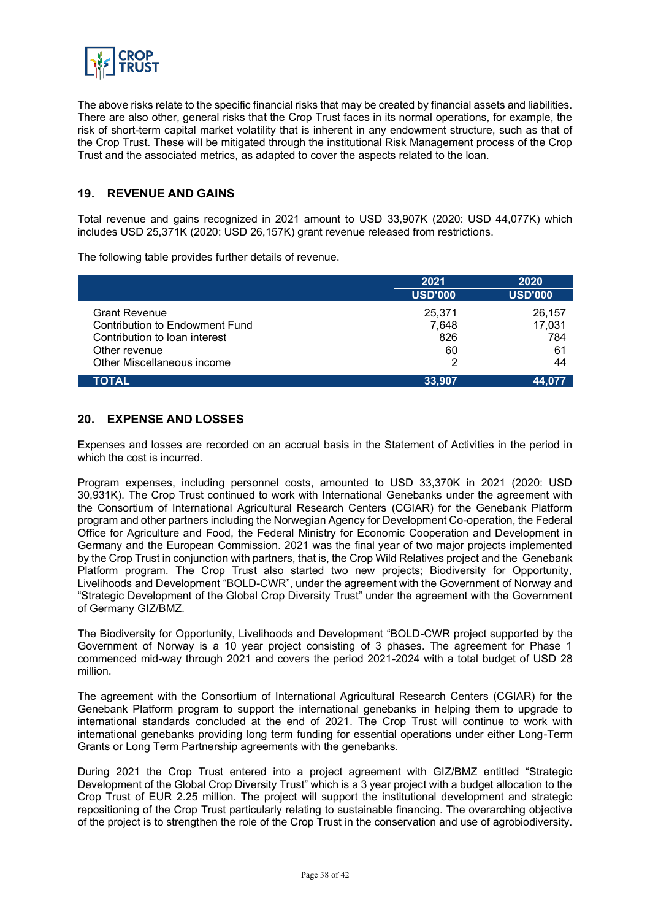

The above risks relate to the specific financial risks that may be created by financial assets and liabilities. There are also other, general risks that the Crop Trust faces in its normal operations, for example, the risk of short-term capital market volatility that is inherent in any endowment structure, such as that of the Crop Trust. These will be mitigated through the institutional Risk Management process of the Crop Trust and the associated metrics, as adapted to cover the aspects related to the loan.

#### **19. REVENUE AND GAINS**

Total revenue and gains recognized in 2021 amount to USD 33,907K (2020: USD 44,077K) which includes USD 25,371K (2020: USD 26,157K) grant revenue released from restrictions.

The following table provides further details of revenue.

|                                                        | 2021            | 2020             |
|--------------------------------------------------------|-----------------|------------------|
|                                                        | <b>USD'000</b>  | <b>USD'000</b>   |
| <b>Grant Revenue</b><br>Contribution to Endowment Fund | 25.371<br>7,648 | 26,157<br>17,031 |
| Contribution to loan interest<br>Other revenue         | 826             | 784              |
| Other Miscellaneous income                             | 60<br>2         | 61<br>44         |
| <b>TOTAL</b>                                           | 33,907          | 44.077           |

#### **20. EXPENSE AND LOSSES**

Expenses and losses are recorded on an accrual basis in the Statement of Activities in the period in which the cost is incurred.

Program expenses, including personnel costs, amounted to USD 33,370K in 2021 (2020: USD 30,931K). The Crop Trust continued to work with International Genebanks under the agreement with the Consortium of International Agricultural Research Centers (CGIAR) for the Genebank Platform program and other partners including the Norwegian Agency for Development Co-operation, the Federal Office for Agriculture and Food, the Federal Ministry for Economic Cooperation and Development in Germany and the European Commission. 2021 was the final year of two major projects implemented by the Crop Trust in conjunction with partners, that is, the Crop Wild Relatives project and the Genebank Platform program. The Crop Trust also started two new projects; Biodiversity for Opportunity, Livelihoods and Development "BOLD-CWR", under the agreement with the Government of Norway and "Strategic Development of the Global Crop Diversity Trust" under the agreement with the Government of Germany GIZ/BMZ.

The Biodiversity for Opportunity, Livelihoods and Development "BOLD-CWR project supported by the Government of Norway is a 10 year project consisting of 3 phases. The agreement for Phase 1 commenced mid-way through 2021 and covers the period 2021-2024 with a total budget of USD 28 million.

The agreement with the Consortium of International Agricultural Research Centers (CGIAR) for the Genebank Platform program to support the international genebanks in helping them to upgrade to international standards concluded at the end of 2021. The Crop Trust will continue to work with international genebanks providing long term funding for essential operations under either Long-Term Grants or Long Term Partnership agreements with the genebanks.

During 2021 the Crop Trust entered into a project agreement with GIZ/BMZ entitled "Strategic Development of the Global Crop Diversity Trust" which is a 3 year project with a budget allocation to the Crop Trust of EUR 2.25 million. The project will support the institutional development and strategic repositioning of the Crop Trust particularly relating to sustainable financing. The overarching objective of the project is to strengthen the role of the Crop Trust in the conservation and use of agrobiodiversity.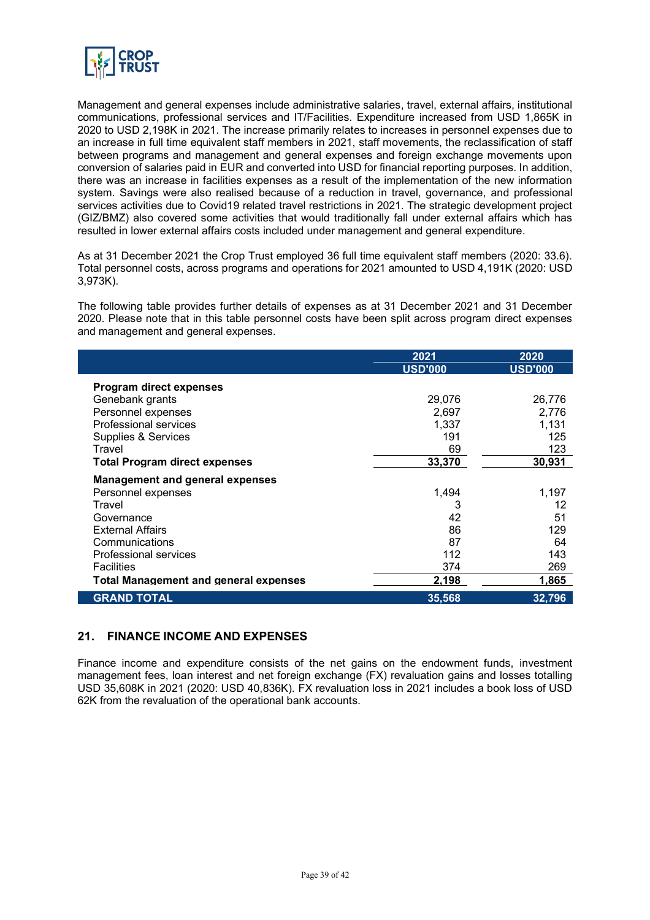

Management and general expenses include administrative salaries, travel, external affairs, institutional communications, professional services and IT/Facilities. Expenditure increased from USD 1,865K in 2020 to USD 2,198K in 2021. The increase primarily relates to increases in personnel expenses due to an increase in full time equivalent staff members in 2021, staff movements, the reclassification of staff between programs and management and general expenses and foreign exchange movements upon conversion of salaries paid in EUR and converted into USD for financial reporting purposes. In addition, there was an increase in facilities expenses as a result of the implementation of the new information system. Savings were also realised because of a reduction in travel, governance, and professional services activities due to Covid19 related travel restrictions in 2021. The strategic development project (GIZ/BMZ) also covered some activities that would traditionally fall under external affairs which has resulted in lower external affairs costs included under management and general expenditure.

As at 31 December 2021 the Crop Trust employed 36 full time equivalent staff members (2020: 33.6). Total personnel costs, across programs and operations for 2021 amounted to USD 4,191K (2020: USD 3,973K).

The following table provides further details of expenses as at 31 December 2021 and 31 December 2020. Please note that in this table personnel costs have been split across program direct expenses and management and general expenses.

|                                        | 2021           | 2020           |
|----------------------------------------|----------------|----------------|
|                                        | <b>USD'000</b> | <b>USD'000</b> |
| <b>Program direct expenses</b>         |                |                |
| Genebank grants                        | 29,076         | 26,776         |
| Personnel expenses                     | 2,697          | 2,776          |
| Professional services                  | 1,337          | 1,131          |
| Supplies & Services                    | 191            | 125            |
| Travel                                 | 69             | 123            |
| <b>Total Program direct expenses</b>   | 33,370         | 30,931         |
| <b>Management and general expenses</b> |                |                |
| Personnel expenses                     | 1,494          | 1,197          |
| Travel                                 | 3              | 12             |
| Governance                             | 42             | 51             |
| <b>External Affairs</b>                | 86             | 129            |
| Communications                         | 87             | 64             |
| Professional services                  | 112            | 143            |
| <b>Facilities</b>                      | 374            | 269            |
| Total Management and general expenses  | 2,198          | 1,865          |
| <b>GRAND TOTAL</b>                     | 35,568         | 32,796         |

#### **21. FINANCE INCOME AND EXPENSES**

Finance income and expenditure consists of the net gains on the endowment funds, investment management fees, loan interest and net foreign exchange (FX) revaluation gains and losses totalling USD 35,608K in 2021 (2020: USD 40,836K). FX revaluation loss in 2021 includes a book loss of USD 62K from the revaluation of the operational bank accounts.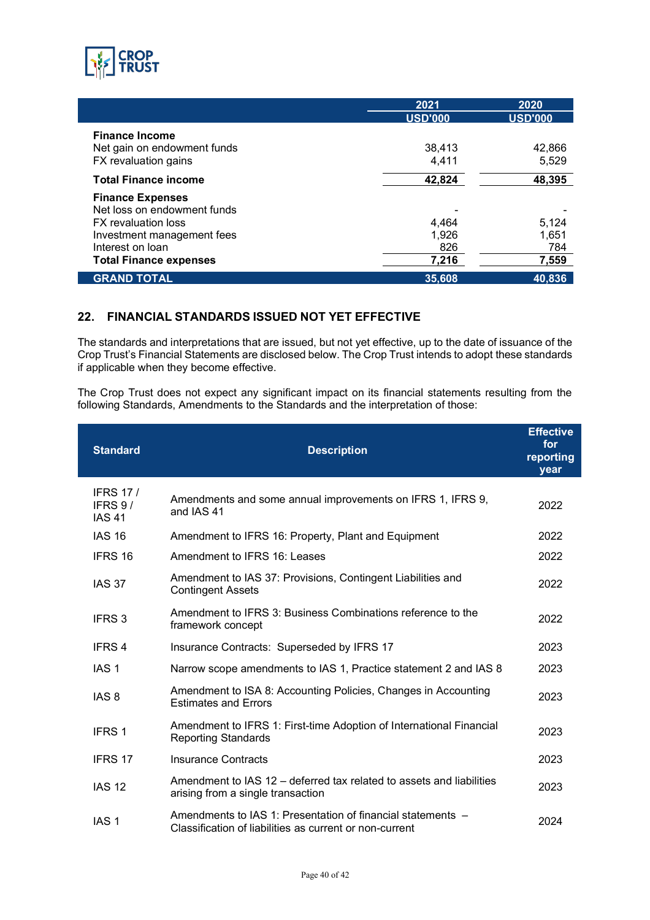

|                                                                              | 2021                  | 2020                  |
|------------------------------------------------------------------------------|-----------------------|-----------------------|
|                                                                              | <b>USD'000</b>        | <b>USD'000</b>        |
| <b>Finance Income</b><br>Net gain on endowment funds<br>FX revaluation gains | 38,413<br>4,411       | 42,866<br>5,529       |
| <b>Total Finance income</b>                                                  | 42,824                | 48,395                |
| <b>Finance Expenses</b><br>Net loss on endowment funds                       |                       |                       |
| <b>FX</b> revaluation loss<br>Investment management fees<br>Interest on loan | 4.464<br>1,926<br>826 | 5,124<br>1,651<br>784 |
| <b>Total Finance expenses</b>                                                | 7,216                 | 7,559                 |
| <b>GRAND TOTAL</b>                                                           | 35,608                | 40,836                |

#### **22. FINANCIAL STANDARDS ISSUED NOT YET EFFECTIVE**

The standards and interpretations that are issued, but not yet effective, up to the date of issuance of the Crop Trust's Financial Statements are disclosed below. The Crop Trust intends to adopt these standards if applicable when they become effective.

The Crop Trust does not expect any significant impact on its financial statements resulting from the following Standards, Amendments to the Standards and the interpretation of those:

| <b>Standard</b>                               | <b>Description</b>                                                                                                     | <b>Effective</b><br>for<br>reporting<br>year |
|-----------------------------------------------|------------------------------------------------------------------------------------------------------------------------|----------------------------------------------|
| <b>IFRS 17/</b><br>IFRS $9/$<br><b>IAS 41</b> | Amendments and some annual improvements on IFRS 1, IFRS 9,<br>and IAS 41                                               | 2022                                         |
| <b>IAS 16</b>                                 | Amendment to IFRS 16: Property, Plant and Equipment                                                                    | 2022                                         |
| IFRS 16                                       | Amendment to IFRS 16: Leases                                                                                           | 2022                                         |
| <b>IAS 37</b>                                 | Amendment to IAS 37: Provisions, Contingent Liabilities and<br><b>Contingent Assets</b>                                | 2022                                         |
| <b>IFRS 3</b>                                 | Amendment to IFRS 3: Business Combinations reference to the<br>framework concept                                       | 2022                                         |
| IFRS 4                                        | Insurance Contracts: Superseded by IFRS 17                                                                             | 2023                                         |
| IAS <sub>1</sub>                              | Narrow scope amendments to IAS 1, Practice statement 2 and IAS 8                                                       | 2023                                         |
| IAS <sub>8</sub>                              | Amendment to ISA 8: Accounting Policies, Changes in Accounting<br><b>Estimates and Errors</b>                          | 2023                                         |
| IFRS 1                                        | Amendment to IFRS 1: First-time Adoption of International Financial<br><b>Reporting Standards</b>                      | 2023                                         |
| IFRS 17                                       | <b>Insurance Contracts</b>                                                                                             | 2023                                         |
| <b>IAS 12</b>                                 | Amendment to IAS 12 – deferred tax related to assets and liabilities<br>arising from a single transaction              | 2023                                         |
| IAS <sub>1</sub>                              | Amendments to IAS 1: Presentation of financial statements –<br>Classification of liabilities as current or non-current | 2024                                         |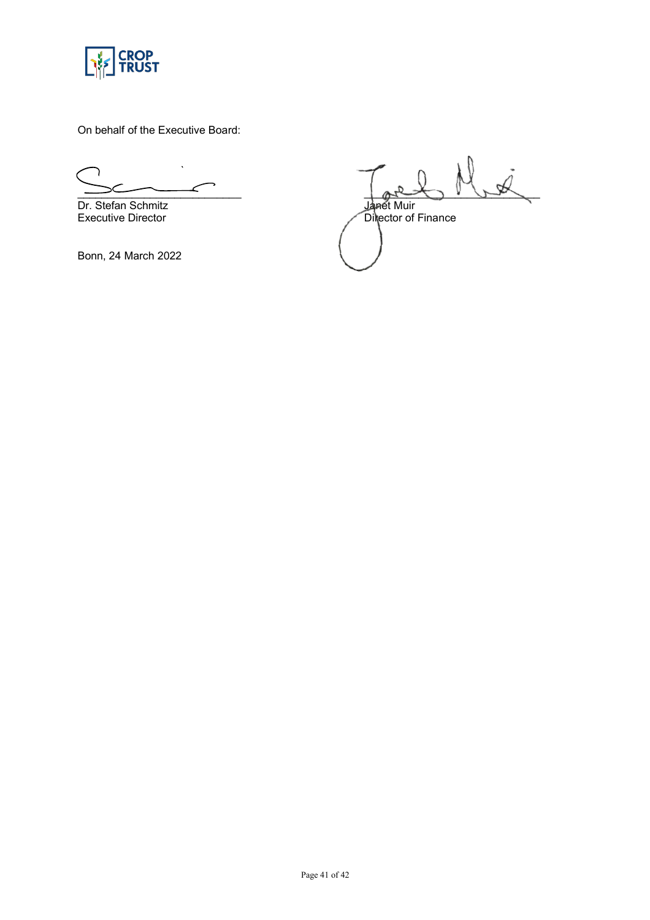

On behalf of the Executive Board:

Dr. Stefan Schmitz<br>Executive Director Director Director Director Chile<br>Contract Director Chile<br>Contract Director Chile<br>Contract Director Chile<br>Contract Director Chile<br>Contract Director Chile<br>Contract Director Chile<br>Contrac

Bonn, 24 March 2022

 $\emptyset$  $\overline{\phantom{a}}$ Director of Finance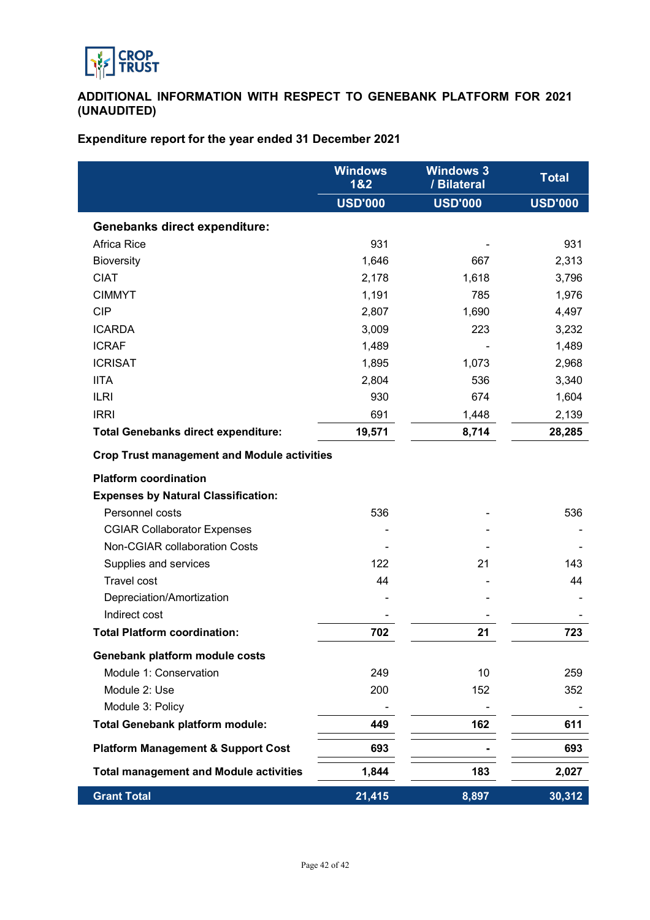

### **ADDITIONAL INFORMATION WITH RESPECT TO GENEBANK PLATFORM FOR 2021 (UNAUDITED)**

## **Expenditure report for the year ended 31 December 2021**

|                                                    | <b>Windows</b><br>1&2 | <b>Windows 3</b><br>/ Bilateral | <b>Total</b>   |
|----------------------------------------------------|-----------------------|---------------------------------|----------------|
|                                                    | <b>USD'000</b>        | <b>USD'000</b>                  | <b>USD'000</b> |
| <b>Genebanks direct expenditure:</b>               |                       |                                 |                |
| <b>Africa Rice</b>                                 | 931                   |                                 | 931            |
| <b>Bioversity</b>                                  | 1,646                 | 667                             | 2,313          |
| <b>CIAT</b>                                        | 2,178                 | 1,618                           | 3,796          |
| <b>CIMMYT</b>                                      | 1,191                 | 785                             | 1,976          |
| <b>CIP</b>                                         | 2,807                 | 1,690                           | 4,497          |
| <b>ICARDA</b>                                      | 3,009                 | 223                             | 3,232          |
| <b>ICRAF</b>                                       | 1,489                 |                                 | 1,489          |
| <b>ICRISAT</b>                                     | 1,895                 | 1,073                           | 2,968          |
| <b>IITA</b>                                        | 2,804                 | 536                             | 3,340          |
| <b>ILRI</b>                                        | 930                   | 674                             | 1,604          |
| <b>IRRI</b>                                        | 691                   | 1,448                           | 2,139          |
| <b>Total Genebanks direct expenditure:</b>         | 19,571                | 8,714                           | 28,285         |
| <b>Crop Trust management and Module activities</b> |                       |                                 |                |
| <b>Platform coordination</b>                       |                       |                                 |                |
| <b>Expenses by Natural Classification:</b>         |                       |                                 |                |
| Personnel costs                                    | 536                   |                                 | 536            |
| <b>CGIAR Collaborator Expenses</b>                 |                       |                                 |                |
| Non-CGIAR collaboration Costs                      |                       |                                 |                |
| Supplies and services                              | 122                   | 21                              | 143            |
| <b>Travel cost</b>                                 | 44                    |                                 | 44             |
| Depreciation/Amortization                          |                       |                                 |                |
| Indirect cost                                      |                       |                                 |                |
| <b>Total Platform coordination:</b>                | 702                   | 21                              | 723            |
| Genebank platform module costs                     |                       |                                 |                |
| Module 1: Conservation                             | 249                   | 10                              | 259            |
| Module 2: Use                                      | 200                   | 152                             |                |
| Module 3: Policy                                   |                       |                                 | 352            |
| <b>Total Genebank platform module:</b>             | 449                   | 162                             | 611            |
|                                                    |                       |                                 |                |
| <b>Platform Management &amp; Support Cost</b>      | 693                   |                                 | 693            |
| <b>Total management and Module activities</b>      | 1,844                 | 183                             | 2,027          |
| <b>Grant Total</b>                                 | 21,415                | 8,897                           | 30,312         |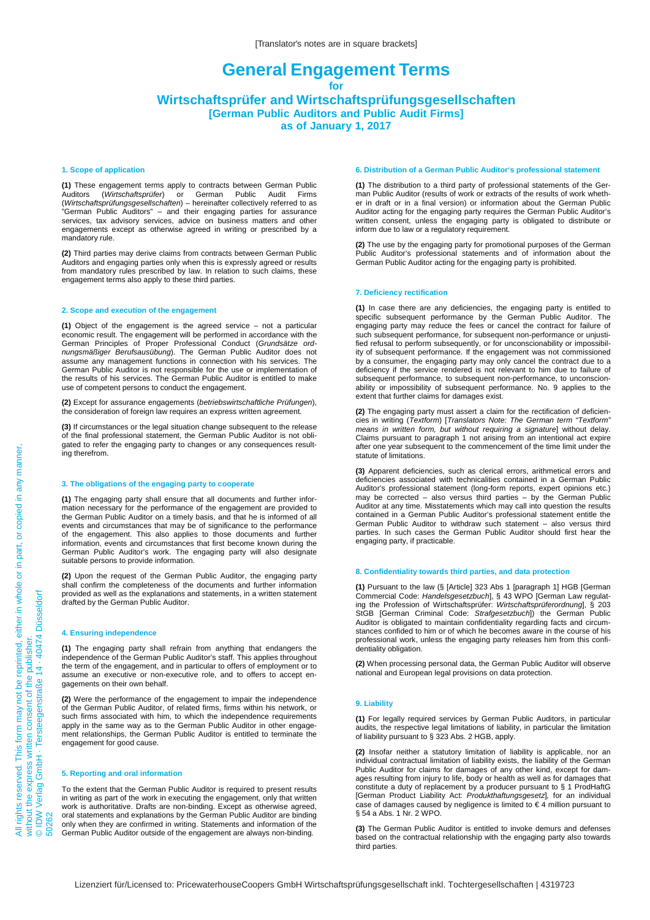#### **General Engagement Terms for Wirtschaftsprüfer and Wirtschaftsprüfungsgesellschaften [German Public Auditors and Public Audit Firms] as of January 1, 2017**

#### **1. Scope of application**

**(1)** These engagement terms apply to contracts between German Public *(Wirtschaftsprüfer*) or German Public (*Wirtschaftsprüfungsgesellschaften*) – hereinafter collectively referred to as "German Public Auditors" – and their engaging parties for assurance services, tax advisory services, advice on business matters and other engagements except as otherwise agreed in writing or prescribed by a mandatory rule.

**(2)** Third parties may derive claims from contracts between German Public Auditors and engaging parties only when this is expressly agreed or results from mandatory rules prescribed by law. In relation to such claims, these engagement terms also apply to these third parties.

#### **2. Scope and execution of the engagement**

**(1)** Object of the engagement is the agreed service – not a particular economic result. The engagement will be performed in accordance with the German Principles of Proper Professional Conduct (*Grundsätze ordnungsmäßiger Berufsausübung*). The German Public Auditor does not assume any management functions in connection with his services. The German Public Auditor is not responsible for the use or implementation of the results of his services. The German Public Auditor is entitled to make use of competent persons to conduct the engagement.

**(2)** Except for assurance engagements (*betriebswirtschaftliche Prüfungen*), the consideration of foreign law requires an express written agreement.

**(3)** If circumstances or the legal situation change subsequent to the release of the final professional statement, the German Public Auditor is not obligated to refer the engaging party to changes or any consequences resulting therefrom.

#### **3. The obligations of the engaging party to cooperate**

**(1)** The engaging party shall ensure that all documents and further information necessary for the performance of the engagement are provided to the German Public Auditor on a timely basis, and that he is informed of all events and circumstances that may be of significance to the performance of the engagement. This also applies to those documents and further information, events and circumstances that first become known during the German Public Auditor's work. The engaging party will also designate suitable persons to provide information.

**(2)** Upon the request of the German Public Auditor, the engaging party shall confirm the completeness of the documents and further information provided as well as the explanations and statements, in a written statement drafted by the German Public Auditor.

#### **4. Ensuring independence**

**(1)** The engaging party shall refrain from anything that endangers the independence of the German Public Auditor's staff. This applies throughout the term of the engagement, and in particular to offers of employment or to assume an executive or non-executive role, and to offers to accept engagements on their own behalf.

**(2)** Were the performance of the engagement to impair the independence of the German Public Auditor, of related firms, firms within his network, or such firms associated with him, to which the independence requirements apply in the same way as to the German Public Auditor in other engagement relationships, the German Public Auditor is entitled to terminate the engagement for good cause.

#### **5. Reporting and oral information**

To the extent that the German Public Auditor is required to present results in writing as part of the work in executing the engagement, only that written work is authoritative. Drafts are non-binding. Except as otherwise agreed, oral statements and explanations by the German Public Auditor are binding only when they are confirmed in writing. Statements and information of the German Public Auditor outside of the engagement are always non-binding.

#### **6. Distribution of a German Public Auditor's professional statement**

**(1)** The distribution to a third party of professional statements of the German Public Auditor (results of work or extracts of the results of work whether in draft or in a final version) or information about the German Public Auditor acting for the engaging party requires the German Public Auditor's written consent, unless the engaging party is obligated to distribute or inform due to law or a regulatory requirement.

**(2)** The use by the engaging party for promotional purposes of the German Public Auditor's professional statements and of information about the German Public Auditor acting for the engaging party is prohibited.

#### **7. Deficiency rectification**

**(1)** In case there are any deficiencies, the engaging party is entitled to specific subsequent performance by the German Public Auditor. The engaging party may reduce the fees or cancel the contract for failure of such subsequent performance, for subsequent non-performance or unjustified refusal to perform subsequently, or for unconscionability or impossibility of subsequent performance. If the engagement was not commissioned by a consumer, the engaging party may only cancel the contract due to a deficiency if the service rendered is not relevant to him due to failure of subsequent performance, to subsequent non-performance, to unconscionability or impossibility of subsequent performance. No. 9 applies to the extent that further claims for damages exist.

**(2)** The engaging party must assert a claim for the rectification of deficiencies in writing (*Textform*) [*Translators Note: The German term "Textform" means in written form, but without requiring a signature*] without delay. Claims pursuant to paragraph 1 not arising from an intentional act expire after one year subsequent to the commencement of the time limit under the statute of limitations.

**(3)** Apparent deficiencies, such as clerical errors, arithmetical errors and deficiencies associated with technicalities contained in a German Public Auditor's professional statement (long-form reports, expert opinions etc.) may be corrected – also versus third parties – by the German Public Auditor at any time. Misstatements which may call into question the results contained in a German Public Auditor's professional statement entitle the German Public Auditor to withdraw such statement – also versus third parties. In such cases the German Public Auditor should first hear the engaging party, if practicable.

#### **8. Confidentiality towards third parties, and data protection**

**(1)** Pursuant to the law (§ [Article] 323 Abs 1 [paragraph 1] HGB [German Commercial Code: *Handelsgesetzbuch*], § 43 WPO [German Law regulating the Profession of Wirtschaftsprüfer: *Wirtschaftsprüferordnung*], § 203 StGB [German Criminal Code: *Strafgesetzbuch*]) the German Public Auditor is obligated to maintain confidentiality regarding facts and circumstances confided to him or of which he becomes aware in the course of his professional work, unless the engaging party releases him from this confidentiality obligation.

**(2)** When processing personal data, the German Public Auditor will observe national and European legal provisions on data protection.

#### **9. Liability**

**(1)** For legally required services by German Public Auditors, in particular audits, the respective legal limitations of liability, in particular the limitation of liability pursuant to § 323 Abs. 2 HGB, apply.

**(2)** Insofar neither a statutory limitation of liability is applicable, nor an individual contractual limitation of liability exists, the liability of the German Public Auditor for claims for damages of any other kind, except for damages resulting from injury to life, body or health as well as for damages that constitute a duty of replacement by a producer pursuant to § 1 ProdHaftG [German Product Liability Act: *Produkthaftungsgesetz*]*,* for an individual case of damages caused by negligence is limited to  $\epsilon$  4 million pursuant to § 54 a Abs. 1 Nr. 2 WPO.

**(3)** The German Public Auditor is entitled to invoke demurs and defenses based on the contractual relationship with the engaging party also towards third parties.

5026